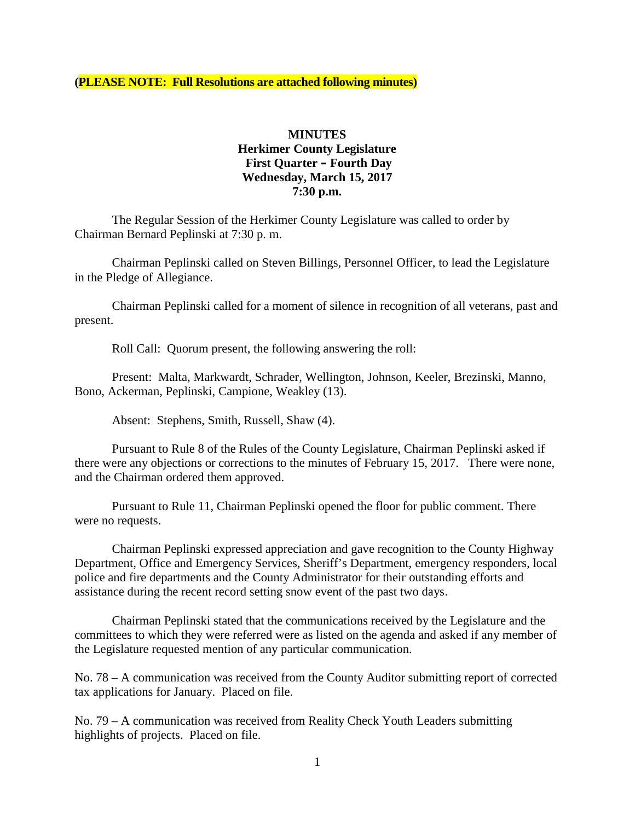**(PLEASE NOTE: Full Resolutions are attached following minutes)**

#### **MINUTES Herkimer County Legislature First Quarter – Fourth Day Wednesday, March 15, 2017 7:30 p.m.**

The Regular Session of the Herkimer County Legislature was called to order by Chairman Bernard Peplinski at 7:30 p. m.

Chairman Peplinski called on Steven Billings, Personnel Officer, to lead the Legislature in the Pledge of Allegiance.

Chairman Peplinski called for a moment of silence in recognition of all veterans, past and present.

Roll Call: Quorum present, the following answering the roll:

Present: Malta, Markwardt, Schrader, Wellington, Johnson, Keeler, Brezinski, Manno, Bono, Ackerman, Peplinski, Campione, Weakley (13).

Absent: Stephens, Smith, Russell, Shaw (4).

Pursuant to Rule 8 of the Rules of the County Legislature, Chairman Peplinski asked if there were any objections or corrections to the minutes of February 15, 2017. There were none, and the Chairman ordered them approved.

Pursuant to Rule 11, Chairman Peplinski opened the floor for public comment. There were no requests.

Chairman Peplinski expressed appreciation and gave recognition to the County Highway Department, Office and Emergency Services, Sheriff's Department, emergency responders, local police and fire departments and the County Administrator for their outstanding efforts and assistance during the recent record setting snow event of the past two days.

Chairman Peplinski stated that the communications received by the Legislature and the committees to which they were referred were as listed on the agenda and asked if any member of the Legislature requested mention of any particular communication.

No. 78 – A communication was received from the County Auditor submitting report of corrected tax applications for January. Placed on file.

No. 79 – A communication was received from Reality Check Youth Leaders submitting highlights of projects. Placed on file.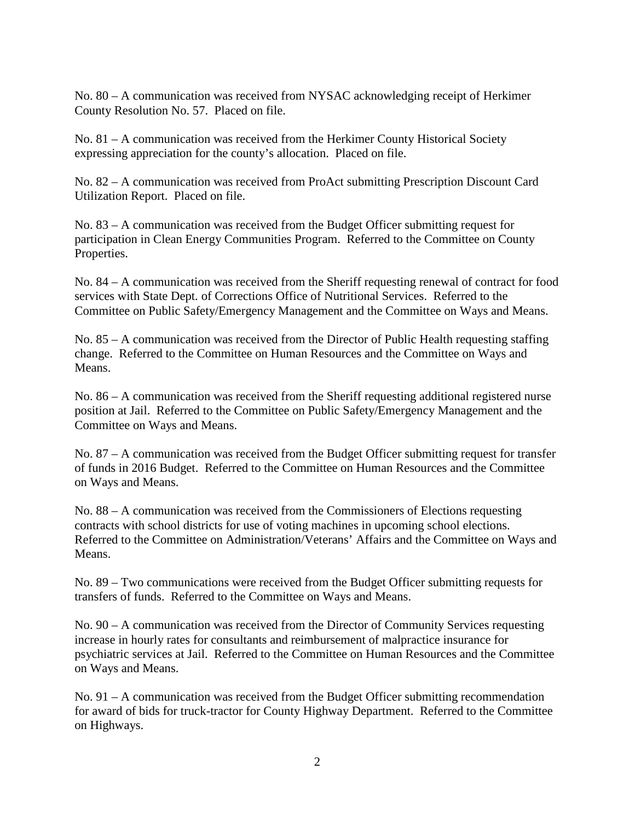No. 80 – A communication was received from NYSAC acknowledging receipt of Herkimer County Resolution No. 57. Placed on file.

No. 81 – A communication was received from the Herkimer County Historical Society expressing appreciation for the county's allocation. Placed on file.

No. 82 – A communication was received from ProAct submitting Prescription Discount Card Utilization Report. Placed on file.

No. 83 – A communication was received from the Budget Officer submitting request for participation in Clean Energy Communities Program. Referred to the Committee on County Properties.

No. 84 – A communication was received from the Sheriff requesting renewal of contract for food services with State Dept. of Corrections Office of Nutritional Services. Referred to the Committee on Public Safety/Emergency Management and the Committee on Ways and Means.

No. 85 – A communication was received from the Director of Public Health requesting staffing change. Referred to the Committee on Human Resources and the Committee on Ways and Means.

No. 86 – A communication was received from the Sheriff requesting additional registered nurse position at Jail. Referred to the Committee on Public Safety/Emergency Management and the Committee on Ways and Means.

No. 87 – A communication was received from the Budget Officer submitting request for transfer of funds in 2016 Budget. Referred to the Committee on Human Resources and the Committee on Ways and Means.

No. 88 – A communication was received from the Commissioners of Elections requesting contracts with school districts for use of voting machines in upcoming school elections. Referred to the Committee on Administration/Veterans' Affairs and the Committee on Ways and Means.

No. 89 – Two communications were received from the Budget Officer submitting requests for transfers of funds. Referred to the Committee on Ways and Means.

No. 90 – A communication was received from the Director of Community Services requesting increase in hourly rates for consultants and reimbursement of malpractice insurance for psychiatric services at Jail. Referred to the Committee on Human Resources and the Committee on Ways and Means.

No. 91 – A communication was received from the Budget Officer submitting recommendation for award of bids for truck-tractor for County Highway Department. Referred to the Committee on Highways.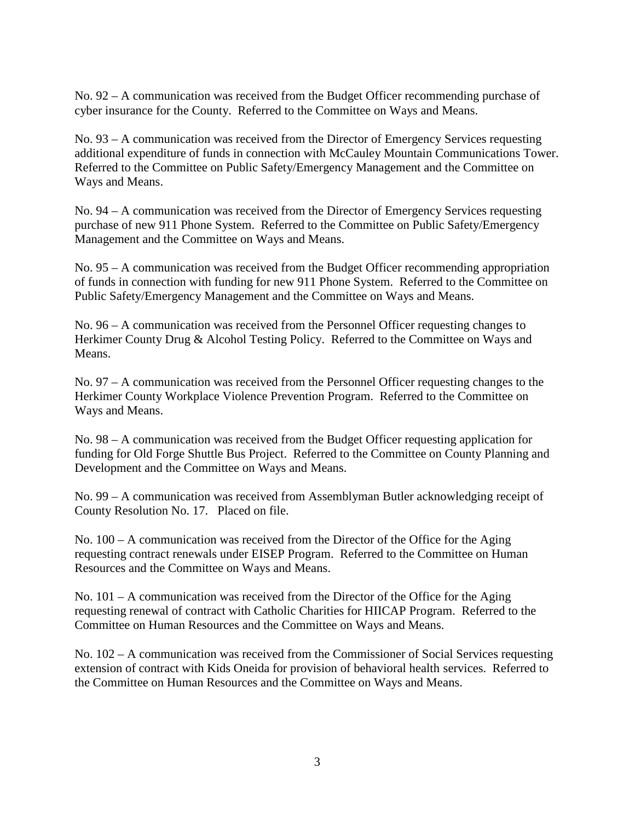No. 92 – A communication was received from the Budget Officer recommending purchase of cyber insurance for the County. Referred to the Committee on Ways and Means.

No. 93 – A communication was received from the Director of Emergency Services requesting additional expenditure of funds in connection with McCauley Mountain Communications Tower. Referred to the Committee on Public Safety/Emergency Management and the Committee on Ways and Means.

No. 94 – A communication was received from the Director of Emergency Services requesting purchase of new 911 Phone System. Referred to the Committee on Public Safety/Emergency Management and the Committee on Ways and Means.

No. 95 – A communication was received from the Budget Officer recommending appropriation of funds in connection with funding for new 911 Phone System. Referred to the Committee on Public Safety/Emergency Management and the Committee on Ways and Means.

No. 96 – A communication was received from the Personnel Officer requesting changes to Herkimer County Drug & Alcohol Testing Policy. Referred to the Committee on Ways and Means.

No. 97 – A communication was received from the Personnel Officer requesting changes to the Herkimer County Workplace Violence Prevention Program. Referred to the Committee on Ways and Means.

No. 98 – A communication was received from the Budget Officer requesting application for funding for Old Forge Shuttle Bus Project. Referred to the Committee on County Planning and Development and the Committee on Ways and Means.

No. 99 – A communication was received from Assemblyman Butler acknowledging receipt of County Resolution No. 17. Placed on file.

No. 100 – A communication was received from the Director of the Office for the Aging requesting contract renewals under EISEP Program. Referred to the Committee on Human Resources and the Committee on Ways and Means.

No. 101 – A communication was received from the Director of the Office for the Aging requesting renewal of contract with Catholic Charities for HIICAP Program. Referred to the Committee on Human Resources and the Committee on Ways and Means.

No. 102 – A communication was received from the Commissioner of Social Services requesting extension of contract with Kids Oneida for provision of behavioral health services. Referred to the Committee on Human Resources and the Committee on Ways and Means.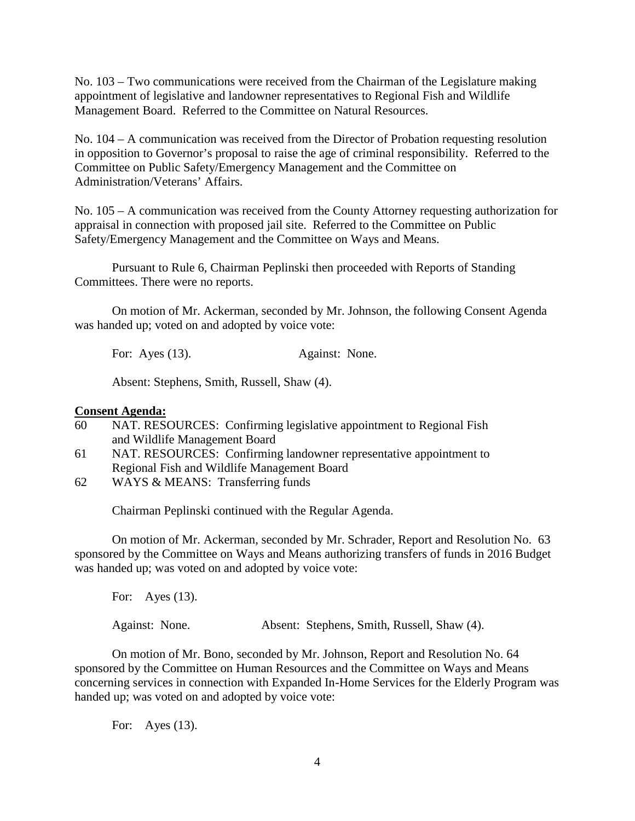No. 103 – Two communications were received from the Chairman of the Legislature making appointment of legislative and landowner representatives to Regional Fish and Wildlife Management Board. Referred to the Committee on Natural Resources.

No. 104 – A communication was received from the Director of Probation requesting resolution in opposition to Governor's proposal to raise the age of criminal responsibility. Referred to the Committee on Public Safety/Emergency Management and the Committee on Administration/Veterans' Affairs.

No. 105 – A communication was received from the County Attorney requesting authorization for appraisal in connection with proposed jail site. Referred to the Committee on Public Safety/Emergency Management and the Committee on Ways and Means.

Pursuant to Rule 6, Chairman Peplinski then proceeded with Reports of Standing Committees. There were no reports.

On motion of Mr. Ackerman, seconded by Mr. Johnson, the following Consent Agenda was handed up; voted on and adopted by voice vote:

For: Ayes (13). Against: None.

Absent: Stephens, Smith, Russell, Shaw (4).

#### **Consent Agenda:**

- 60 NAT. RESOURCES: Confirming legislative appointment to Regional Fish and Wildlife Management Board
- 61 NAT. RESOURCES: Confirming landowner representative appointment to Regional Fish and Wildlife Management Board
- 62 WAYS & MEANS: Transferring funds

Chairman Peplinski continued with the Regular Agenda.

On motion of Mr. Ackerman, seconded by Mr. Schrader, Report and Resolution No. 63 sponsored by the Committee on Ways and Means authorizing transfers of funds in 2016 Budget was handed up; was voted on and adopted by voice vote:

For: Ayes (13). Against: None. Absent: Stephens, Smith, Russell, Shaw (4).

On motion of Mr. Bono, seconded by Mr. Johnson, Report and Resolution No. 64 sponsored by the Committee on Human Resources and the Committee on Ways and Means concerning services in connection with Expanded In-Home Services for the Elderly Program was handed up; was voted on and adopted by voice vote:

For: Ayes (13).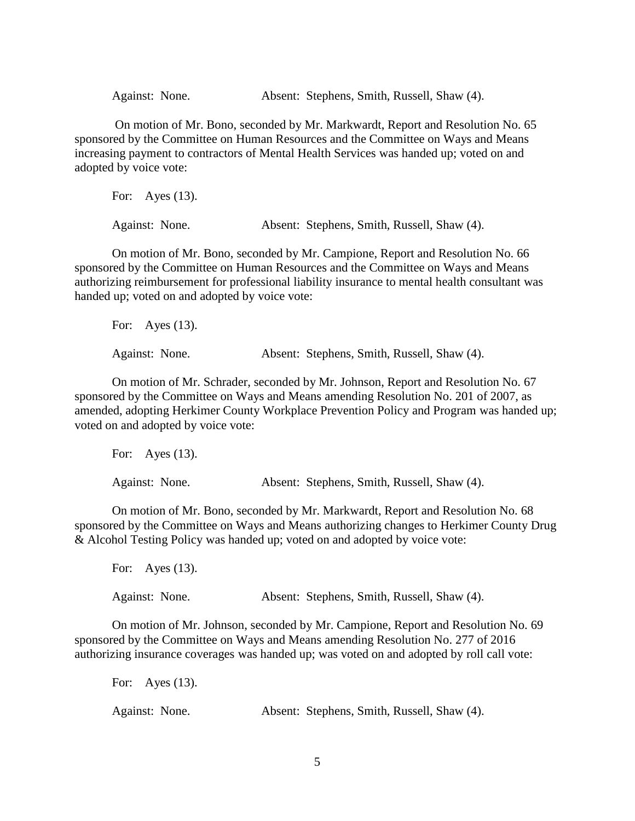Against: None. Absent: Stephens, Smith, Russell, Shaw (4).

On motion of Mr. Bono, seconded by Mr. Markwardt, Report and Resolution No. 65 sponsored by the Committee on Human Resources and the Committee on Ways and Means increasing payment to contractors of Mental Health Services was handed up; voted on and adopted by voice vote:

For: Ayes (13). Against: None. Absent: Stephens, Smith, Russell, Shaw (4).

On motion of Mr. Bono, seconded by Mr. Campione, Report and Resolution No. 66 sponsored by the Committee on Human Resources and the Committee on Ways and Means authorizing reimbursement for professional liability insurance to mental health consultant was handed up; voted on and adopted by voice vote:

For: Ayes (13). Against: None. Absent: Stephens, Smith, Russell, Shaw (4).

On motion of Mr. Schrader, seconded by Mr. Johnson, Report and Resolution No. 67 sponsored by the Committee on Ways and Means amending Resolution No. 201 of 2007, as amended, adopting Herkimer County Workplace Prevention Policy and Program was handed up; voted on and adopted by voice vote:

| For: Ayes $(13)$ . |  |                                             |  |  |
|--------------------|--|---------------------------------------------|--|--|
| Against: None.     |  | Absent: Stephens, Smith, Russell, Shaw (4). |  |  |

On motion of Mr. Bono, seconded by Mr. Markwardt, Report and Resolution No. 68 sponsored by the Committee on Ways and Means authorizing changes to Herkimer County Drug & Alcohol Testing Policy was handed up; voted on and adopted by voice vote:

| For: Ayes $(13)$ . |                                             |
|--------------------|---------------------------------------------|
| Against: None.     | Absent: Stephens, Smith, Russell, Shaw (4). |

On motion of Mr. Johnson, seconded by Mr. Campione, Report and Resolution No. 69 sponsored by the Committee on Ways and Means amending Resolution No. 277 of 2016 authorizing insurance coverages was handed up; was voted on and adopted by roll call vote:

| For: Ayes $(13)$ . |  |                                             |  |
|--------------------|--|---------------------------------------------|--|
| Against: None.     |  | Absent: Stephens, Smith, Russell, Shaw (4). |  |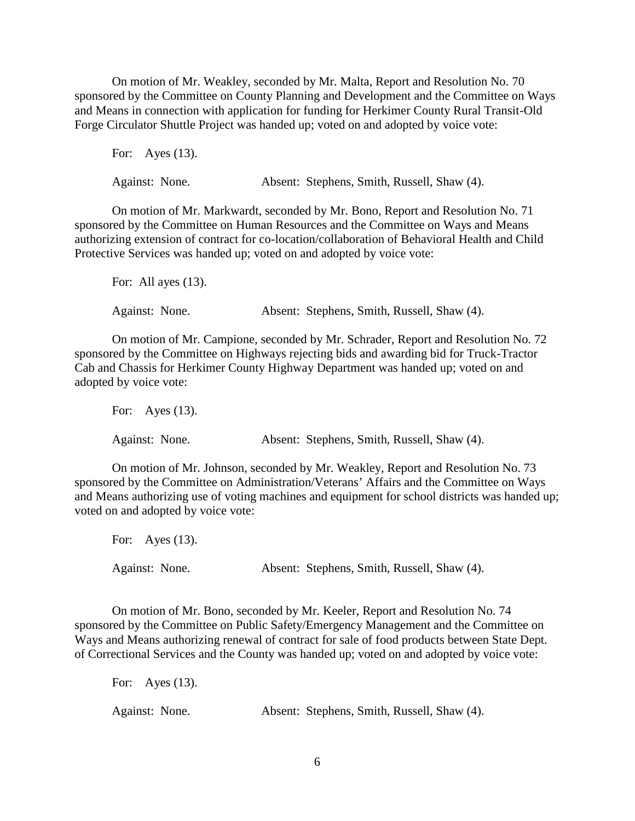On motion of Mr. Weakley, seconded by Mr. Malta, Report and Resolution No. 70 sponsored by the Committee on County Planning and Development and the Committee on Ways and Means in connection with application for funding for Herkimer County Rural Transit-Old Forge Circulator Shuttle Project was handed up; voted on and adopted by voice vote:

For: Ayes (13).

Against: None. Absent: Stephens, Smith, Russell, Shaw (4).

On motion of Mr. Markwardt, seconded by Mr. Bono, Report and Resolution No. 71 sponsored by the Committee on Human Resources and the Committee on Ways and Means authorizing extension of contract for co-location/collaboration of Behavioral Health and Child Protective Services was handed up; voted on and adopted by voice vote:

For: All ayes  $(13)$ . Against: None. Absent: Stephens, Smith, Russell, Shaw (4).

On motion of Mr. Campione, seconded by Mr. Schrader, Report and Resolution No. 72 sponsored by the Committee on Highways rejecting bids and awarding bid for Truck-Tractor Cab and Chassis for Herkimer County Highway Department was handed up; voted on and adopted by voice vote:

For: Ayes (13). Against: None. Absent: Stephens, Smith, Russell, Shaw (4).

On motion of Mr. Johnson, seconded by Mr. Weakley, Report and Resolution No. 73 sponsored by the Committee on Administration/Veterans' Affairs and the Committee on Ways and Means authorizing use of voting machines and equipment for school districts was handed up; voted on and adopted by voice vote:

For: Ayes (13). Against: None. Absent: Stephens, Smith, Russell, Shaw (4).

On motion of Mr. Bono, seconded by Mr. Keeler, Report and Resolution No. 74 sponsored by the Committee on Public Safety/Emergency Management and the Committee on Ways and Means authorizing renewal of contract for sale of food products between State Dept. of Correctional Services and the County was handed up; voted on and adopted by voice vote:

| For: Ayes $(13)$ . |                                             |
|--------------------|---------------------------------------------|
| Against: None.     | Absent: Stephens, Smith, Russell, Shaw (4). |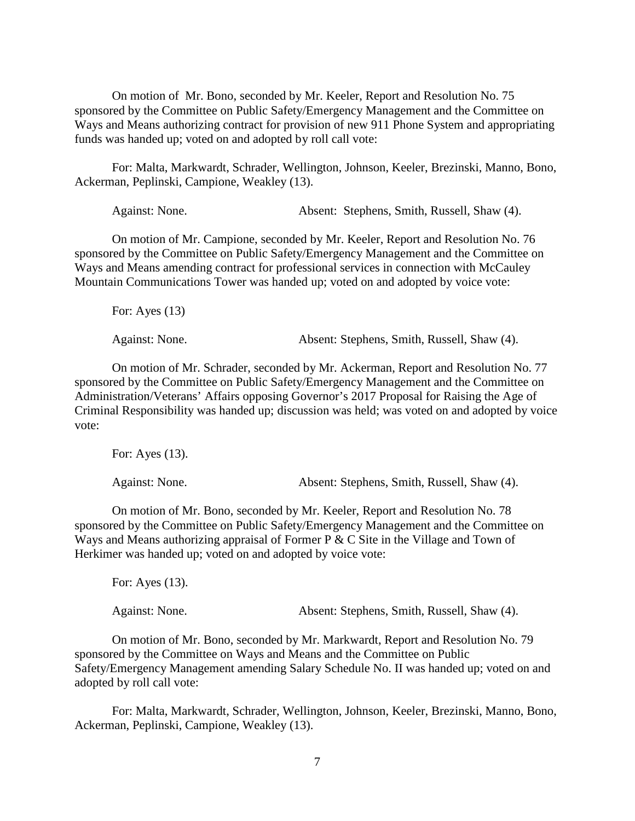On motion of Mr. Bono, seconded by Mr. Keeler, Report and Resolution No. 75 sponsored by the Committee on Public Safety/Emergency Management and the Committee on Ways and Means authorizing contract for provision of new 911 Phone System and appropriating funds was handed up; voted on and adopted by roll call vote:

For: Malta, Markwardt, Schrader, Wellington, Johnson, Keeler, Brezinski, Manno, Bono, Ackerman, Peplinski, Campione, Weakley (13).

Against: None. Absent: Stephens, Smith, Russell, Shaw (4).

On motion of Mr. Campione, seconded by Mr. Keeler, Report and Resolution No. 76 sponsored by the Committee on Public Safety/Emergency Management and the Committee on Ways and Means amending contract for professional services in connection with McCauley Mountain Communications Tower was handed up; voted on and adopted by voice vote:

For: Ayes (13)

Against: None. Absent: Stephens, Smith, Russell, Shaw (4).

On motion of Mr. Schrader, seconded by Mr. Ackerman, Report and Resolution No. 77 sponsored by the Committee on Public Safety/Emergency Management and the Committee on Administration/Veterans' Affairs opposing Governor's 2017 Proposal for Raising the Age of Criminal Responsibility was handed up; discussion was held; was voted on and adopted by voice vote:

For: Ayes (13). Against: None. Absent: Stephens, Smith, Russell, Shaw (4).

On motion of Mr. Bono, seconded by Mr. Keeler, Report and Resolution No. 78 sponsored by the Committee on Public Safety/Emergency Management and the Committee on Ways and Means authorizing appraisal of Former P & C Site in the Village and Town of Herkimer was handed up; voted on and adopted by voice vote:

For: Ayes (13). Against: None. Absent: Stephens, Smith, Russell, Shaw (4).

On motion of Mr. Bono, seconded by Mr. Markwardt, Report and Resolution No. 79 sponsored by the Committee on Ways and Means and the Committee on Public Safety/Emergency Management amending Salary Schedule No. II was handed up; voted on and adopted by roll call vote:

For: Malta, Markwardt, Schrader, Wellington, Johnson, Keeler, Brezinski, Manno, Bono, Ackerman, Peplinski, Campione, Weakley (13).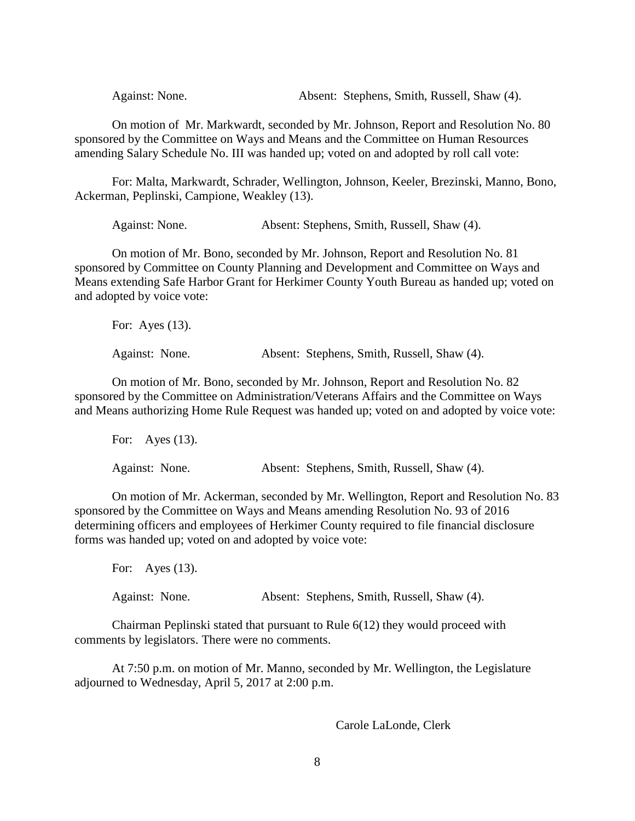Against: None. Absent: Stephens, Smith, Russell, Shaw (4).

On motion of Mr. Markwardt, seconded by Mr. Johnson, Report and Resolution No. 80 sponsored by the Committee on Ways and Means and the Committee on Human Resources amending Salary Schedule No. III was handed up; voted on and adopted by roll call vote:

For: Malta, Markwardt, Schrader, Wellington, Johnson, Keeler, Brezinski, Manno, Bono, Ackerman, Peplinski, Campione, Weakley (13).

Against: None. Absent: Stephens, Smith, Russell, Shaw (4).

On motion of Mr. Bono, seconded by Mr. Johnson, Report and Resolution No. 81 sponsored by Committee on County Planning and Development and Committee on Ways and Means extending Safe Harbor Grant for Herkimer County Youth Bureau as handed up; voted on and adopted by voice vote:

| For: Ayes $(13)$ . |  |  |                                             |
|--------------------|--|--|---------------------------------------------|
| Against: None.     |  |  | Absent: Stephens, Smith, Russell, Shaw (4). |

On motion of Mr. Bono, seconded by Mr. Johnson, Report and Resolution No. 82 sponsored by the Committee on Administration/Veterans Affairs and the Committee on Ways and Means authorizing Home Rule Request was handed up; voted on and adopted by voice vote:

For: Ayes (13). Against: None. Absent: Stephens, Smith, Russell, Shaw (4).

On motion of Mr. Ackerman, seconded by Mr. Wellington, Report and Resolution No. 83 sponsored by the Committee on Ways and Means amending Resolution No. 93 of 2016 determining officers and employees of Herkimer County required to file financial disclosure forms was handed up; voted on and adopted by voice vote:

For: Ayes (13). Against: None. Absent: Stephens, Smith, Russell, Shaw (4).

Chairman Peplinski stated that pursuant to Rule 6(12) they would proceed with comments by legislators. There were no comments.

At 7:50 p.m. on motion of Mr. Manno, seconded by Mr. Wellington, the Legislature adjourned to Wednesday, April 5, 2017 at 2:00 p.m.

Carole LaLonde, Clerk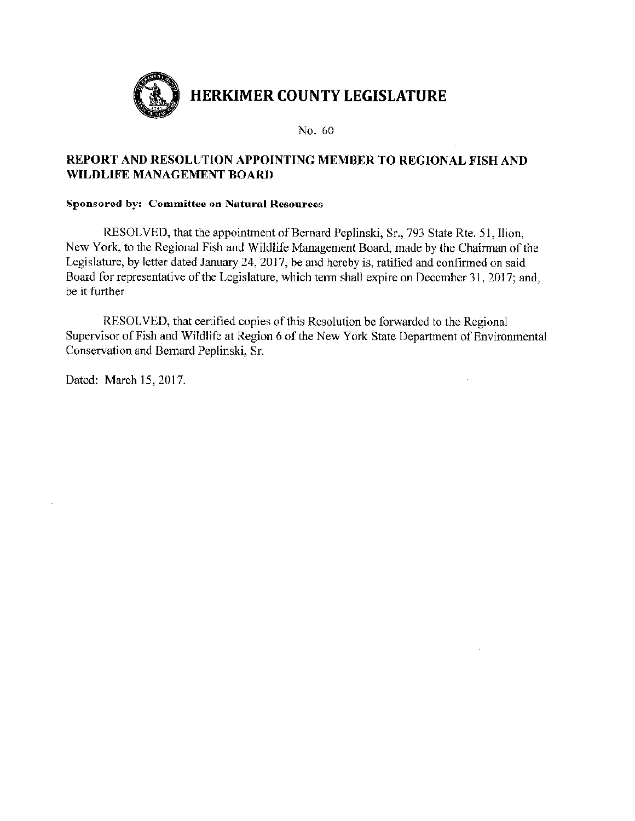

# REPORT AND RESOLUTION APPOINTING MEMBER TO REGIONAL FISH AND WILDLIFE MANAGEMENT BOARD

#### **Sponsored by: Committee on Natural Resources**

RESOLVED, that the appointment of Bernard Peplinski, Sr., 793 State Rte. 51, Ilion, New York, to the Regional Fish and Wildlife Management Board, made by the Chairman of the Legislature, by letter dated January 24, 2017, be and hereby is, ratified and confirmed on said Board for representative of the Legislature, which term shall expire on December 31, 2017; and, be it further

RESOLVED, that certified copies of this Resolution be forwarded to the Regional Supervisor of Fish and Wildlife at Region 6 of the New York State Department of Environmental Conservation and Bernard Peplinski, Sr.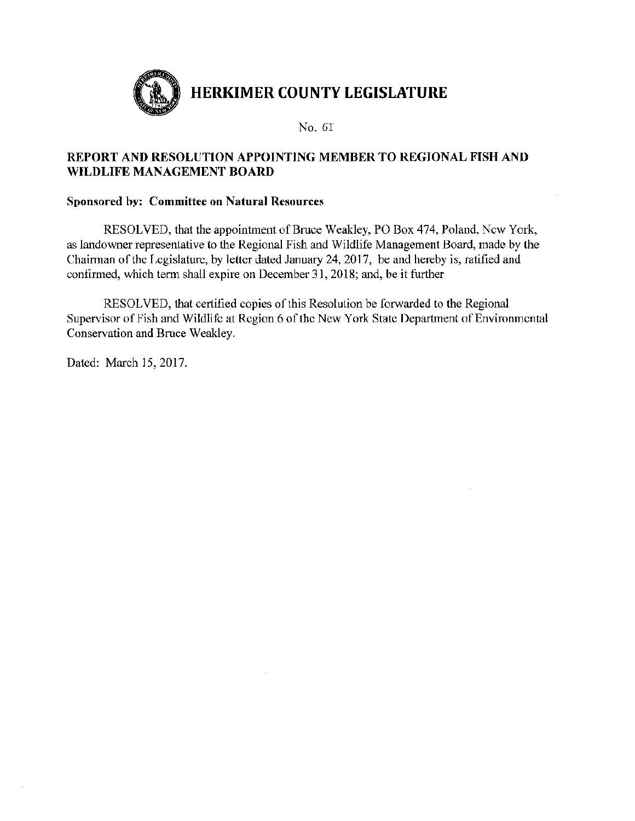

# REPORT AND RESOLUTION APPOINTING MEMBER TO REGIONAL FISH AND WILDLIFE MANAGEMENT BOARD

# Sponsored by: Committee on Natural Resources

RESOLVED, that the appointment of Bruce Weakley, PO Box 474, Poland, New York, as landowner representative to the Regional Fish and Wildlife Management Board, made by the Chairman of the Legislature, by letter dated January 24, 2017, be and hereby is, ratified and confirmed, which term shall expire on December 31, 2018; and, be it further

RESOLVED, that certified copies of this Resolution be forwarded to the Regional Supervisor of Fish and Wildlife at Region 6 of the New York State Department of Environmental Conservation and Bruce Weakley.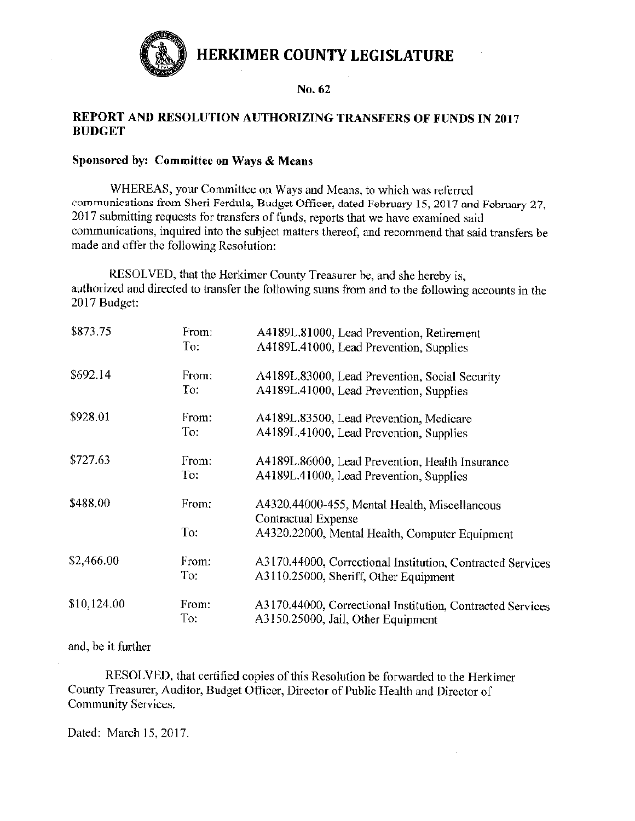

## REPORT AND RESOLUTION AUTHORIZING TRANSFERS OF FUNDS IN 2017 **BUDGET**

#### Sponsored by: Committee on Ways & Means

WHEREAS, your Committee on Ways and Means, to which was referred communications from Sheri Ferdula, Budget Officer, dated February 15, 2017 and February 27, 2017 submitting requests for transfers of funds, reports that we have examined said communications, inquired into the subject matters thereof, and recommend that said transfers be made and offer the following Resolution:

RESOLVED, that the Herkimer County Treasurer be, and she hereby is, authorized and directed to transfer the following sums from and to the following accounts in the 2017 Budget:

| \$873.75    | From: | A4189L.81000, Lead Prevention, Retirement                  |
|-------------|-------|------------------------------------------------------------|
|             | To:   | A4189L.41000, Lead Prevention, Supplies                    |
| \$692.14    | From: | A4189L.83000, Lead Prevention, Social Security             |
|             | To:   | A4189L.41000, Lead Prevention, Supplies                    |
| \$928.01    | From: | A4189L.83500, Lead Prevention, Medicare                    |
|             | To:   | A4189L.41000, Lead Prevention, Supplies                    |
| \$727.63    | From: | A4189L.86000, Lead Prevention, Health Insurance            |
|             | To:   | A4189L.41000, Lead Prevention, Supplies                    |
| \$488.00    | From: | A4320.44000-455, Mental Health, Miscellancous              |
|             |       | Contractual Expense                                        |
|             | To:   | A4320.22000, Mental Health, Computer Equipment             |
| \$2,466.00  | From: | A3170.44000, Correctional Institution, Contracted Services |
|             | To:   | A3110.25000, Sheriff, Other Equipment                      |
| \$10,124.00 | From: | A3170.44000, Correctional Institution, Contracted Services |
|             | To:   | A3150.25000, Jail, Other Equipment                         |

#### and, be it further

RESOLVED, that certified copies of this Resolution be forwarded to the Herkimer County Treasurer, Auditor, Budget Officer, Director of Public Health and Director of Community Services.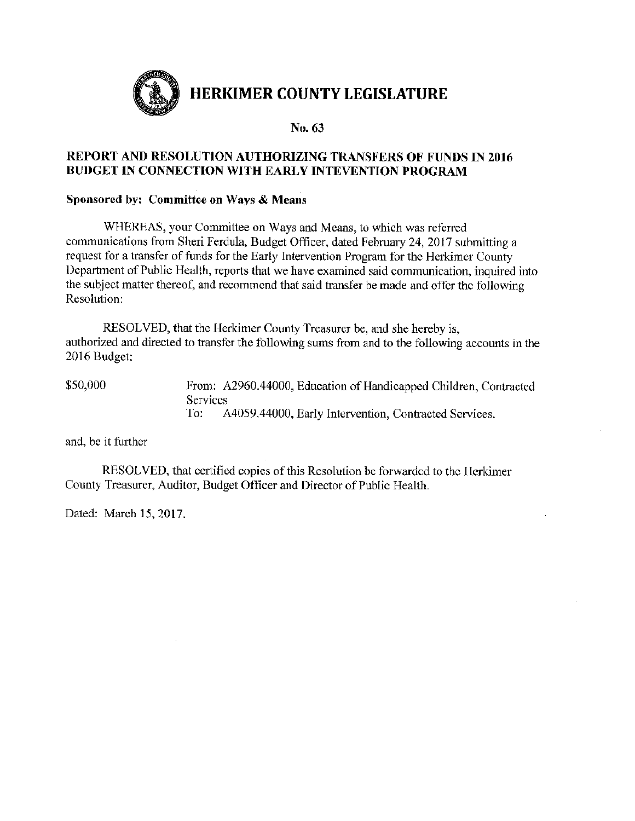

# REPORT AND RESOLUTION AUTHORIZING TRANSFERS OF FUNDS IN 2016 **BUDGET IN CONNECTION WITH EARLY INTEVENTION PROGRAM**

#### Sponsored by: Committee on Ways & Means

WHEREAS, your Committee on Ways and Means, to which was referred communications from Sheri Ferdula, Budget Officer, dated February 24, 2017 submitting a request for a transfer of funds for the Early Intervention Program for the Herkimer County Department of Public Health, reports that we have examined said communication, inquired into the subject matter thereof, and recommend that said transfer be made and offer the following Resolution:

RESOLVED, that the Herkimer County Treasurer be, and she hereby is. authorized and directed to transfer the following sums from and to the following accounts in the 2016 Budget:

\$50,000 From: A2960.44000, Education of Handicapped Children, Contracted Services To: A4059.44000, Early Intervention, Contracted Services.

and, be it further

RESOLVED, that certified copies of this Resolution be forwarded to the Herkimer County Treasurer, Auditor, Budget Officer and Director of Public Health.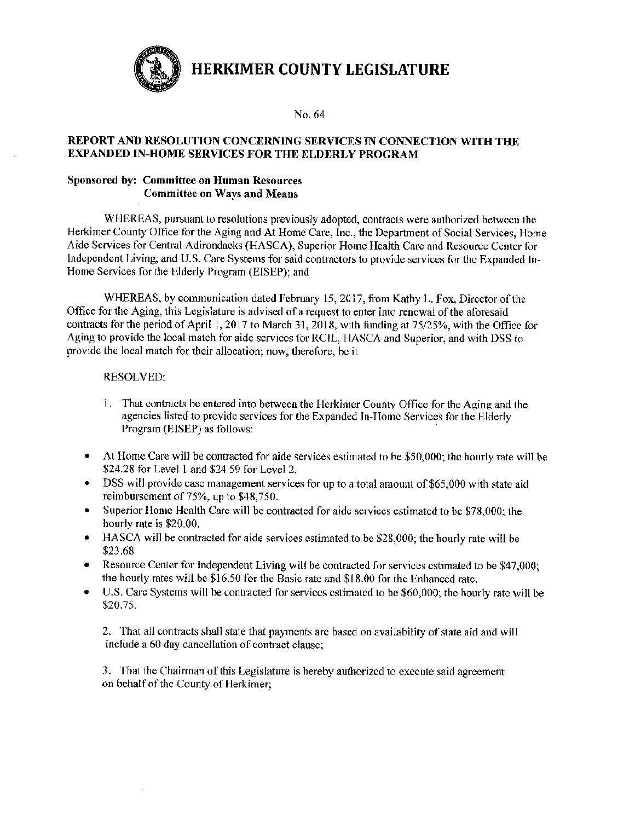No. 64

#### REPORT AND RESOLUTION CONCERNING SERVICES IN CONNECTION WITH THE **EXPANDED IN-HOME SERVICES FOR THE ELDERLY PROGRAM**

#### Sponsored by: Committee on Human Resources **Committee on Ways and Means**

WHEREAS, pursuant to resolutions previously adopted, contracts were authorized between the Herkimer County Office for the Aging and At Home Care, Inc., the Department of Social Services. Home Aide Services for Central Adirondacks (HASCA), Superior Home Health Care and Resource Center for Independent Living, and U.S. Care Systems for said contractors to provide services for the Expanded In-Home Services for the Elderly Program (EISEP); and

WHEREAS, by communication dated February 15, 2017, from Kathy L. Fox, Director of the Office for the Aging, this Legislature is advised of a request to enter into renewal of the aforesaid contracts for the period of April 1, 2017 to March 31, 2018, with funding at 75/25%, with the Office for Aging to provide the local match for aide services for RCIL, HASCA and Superior, and with DSS to provide the local match for their allocation; now, therefore, be it

#### RESOLVED:

- 1. That contracts be entered into between the Herkimer County Office for the Aging and the agencies listed to provide services for the Expanded In-Home Services for the Elderly Program (EISEP) as follows:
- At Home Care will be contracted for aide services estimated to be \$50,000; the hourly rate will be  $\bullet$ \$24.28 for Level 1 and \$24.59 for Level 2.
- DSS will provide case management services for up to a total amount of \$65,000 with state aid reimbursement of 75%, up to \$48,750.
- Superior Home Health Care will be contracted for aide services estimated to be \$78,000; the ۰ hourly rate is \$20.00.
- HASCA will be contracted for aide services estimated to be \$28,000; the hourly rate will be \$23.68
- Resource Center for Independent Living will be contracted for services estimated to be \$47,000;  $\bullet$ the hourly rates will be \$16.50 for the Basic rate and \$18.00 for the Enhanced rate.
- U.S. Care Systems will be contracted for services estimated to be \$60,000; the hourly rate will be  $\bullet$ \$20.75.

2. That all contracts shall state that payments are based on availability of state aid and will include a 60 day cancellation of contract clause;

3. That the Chairman of this Legislature is hereby authorized to execute said agreement on behalf of the County of Herkimer;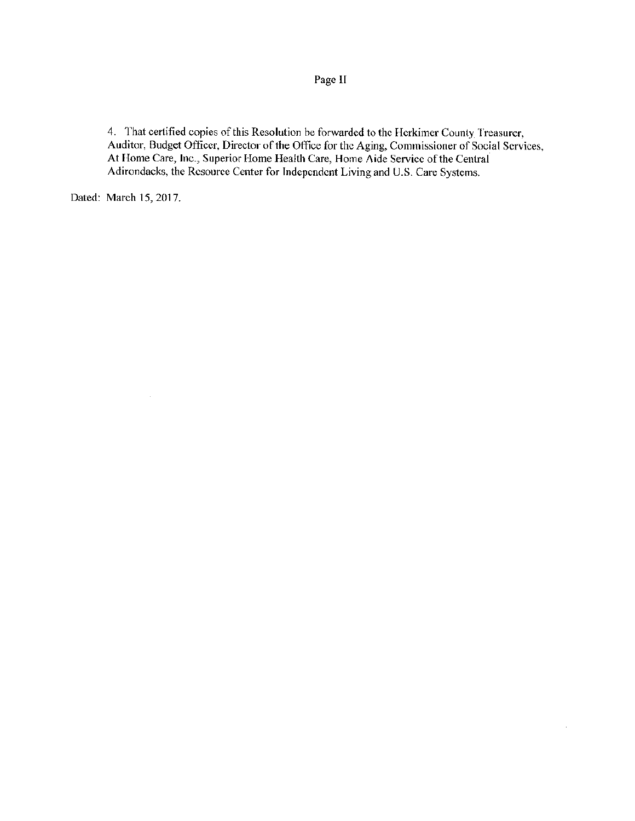Page II

4. That certified copies of this Resolution be forwarded to the Herkimer County Treasurer, Auditor, Budget Officer, Director of the Office for the Aging, Commissioner of Social Services, At Home Care, Inc., Superior Home Health Care, Home Aide Service of the Central Adirondacks, the Resource Center for Independent Living and U.S. Care Systems.

 $\bar{z}$ 

Dated: March 15, 2017.

 $\bar{z}$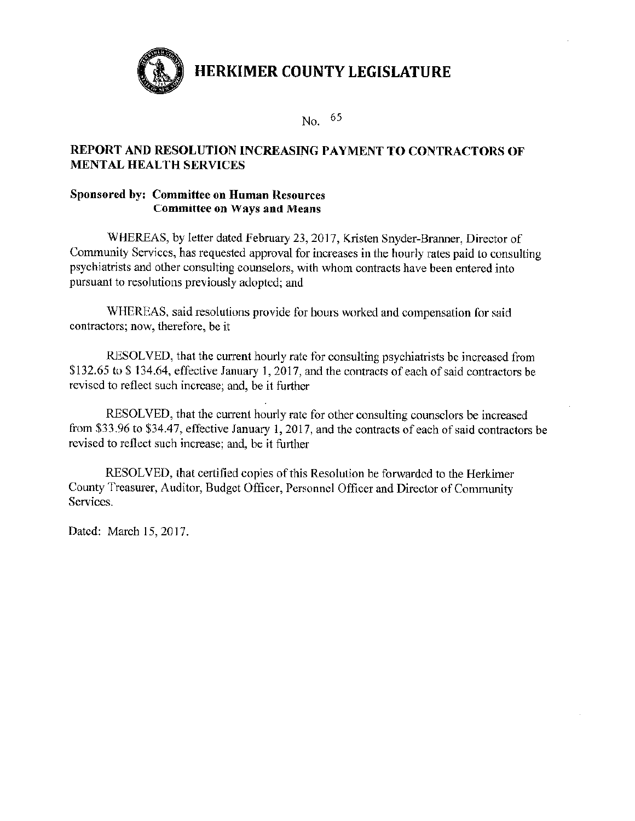

No.  $65$ 

# REPORT AND RESOLUTION INCREASING PAYMENT TO CONTRACTORS OF **MENTAL HEALTH SERVICES**

### **Sponsored by: Committee on Human Resources Committee on Ways and Means**

WHEREAS, by letter dated February 23, 2017, Kristen Snyder-Branner, Director of Community Services, has requested approval for increases in the hourly rates paid to consulting psychiatrists and other consulting counselors, with whom contracts have been entered into pursuant to resolutions previously adopted; and

WHEREAS, said resolutions provide for hours worked and compensation for said contractors; now, therefore, be it

RESOLVED, that the current hourly rate for consulting psychiatrists be increased from \$132.65 to \$134.64, effective January 1, 2017, and the contracts of each of said contractors be revised to reflect such increase; and, be it further

RESOLVED, that the current hourly rate for other consulting counselors be increased from \$33.96 to \$34.47, effective January 1, 2017, and the contracts of each of said contractors be revised to reflect such increase; and, be it further

RESOLVED, that certified copies of this Resolution be forwarded to the Herkimer County Treasurer, Auditor, Budget Officer, Personnel Officer and Director of Community Services.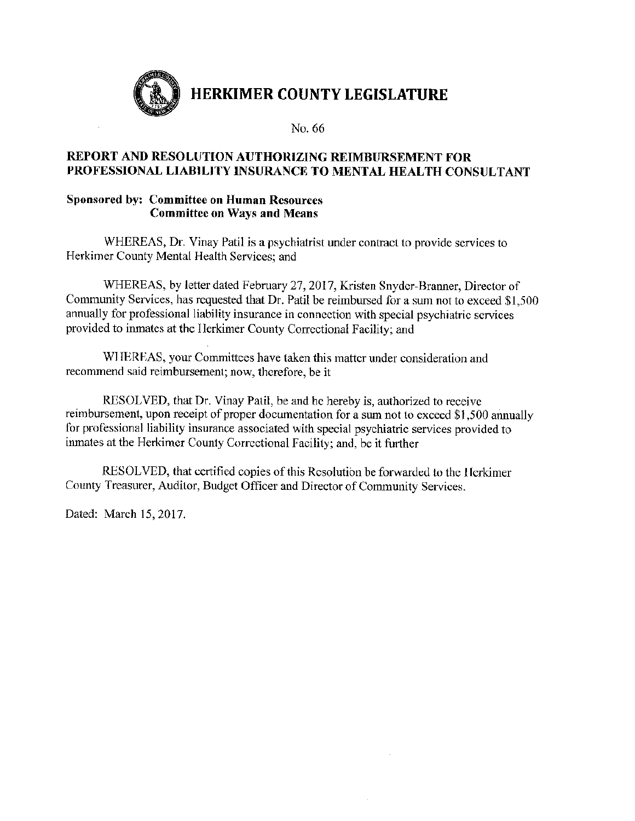

No. 66

# REPORT AND RESOLUTION AUTHORIZING REIMBURSEMENT FOR PROFESSIONAL LIABILITY INSURANCE TO MENTAL HEALTH CONSULTANT

#### **Sponsored by: Committee on Human Resources Committee on Ways and Means**

WHEREAS, Dr. Vinay Patil is a psychiatrist under contract to provide services to Herkimer County Mental Health Services; and

WHEREAS, by letter dated February 27, 2017, Kristen Snyder-Branner, Director of Community Services, has requested that Dr. Patil be reimbursed for a sum not to exceed \$1,500 annually for professional liability insurance in connection with special psychiatric services provided to inmates at the Herkimer County Correctional Facility; and

WHEREAS, your Committees have taken this matter under consideration and recommend said reimbursement; now, therefore, be it

RESOLVED, that Dr. Vinay Patil, be and he hereby is, authorized to receive reimbursement, upon receipt of proper documentation for a sum not to exceed \$1,500 annually for professional liability insurance associated with special psychiatric services provided to inmates at the Herkimer County Correctional Facility; and, be it further

RESOLVED, that certified copies of this Resolution be forwarded to the Herkimer County Treasurer, Auditor, Budget Officer and Director of Community Services.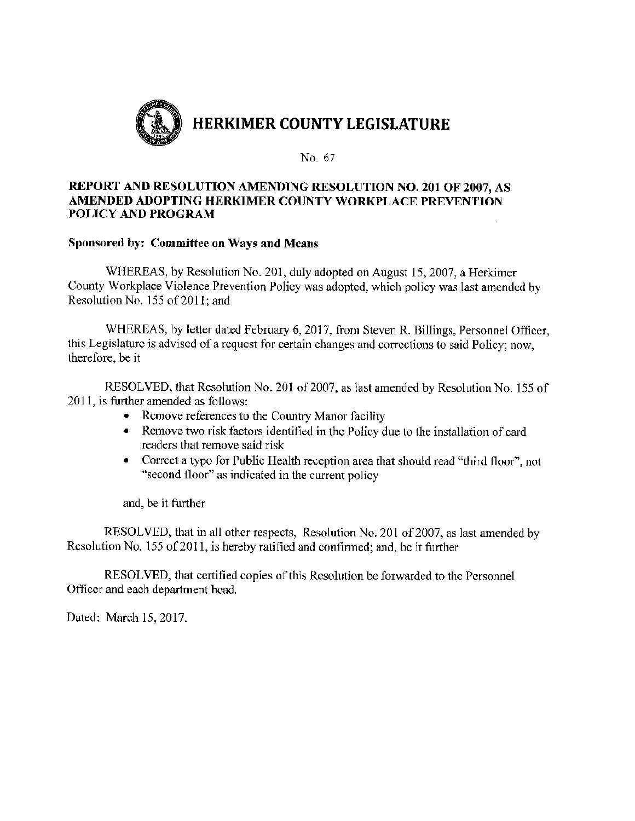

#### REPORT AND RESOLUTION AMENDING RESOLUTION NO. 201 OF 2007, AS AMENDED ADOPTING HERKIMER COUNTY WORKPLACE PREVENTION POLICY AND PROGRAM

#### Sponsored by: Committee on Ways and Means

WHEREAS, by Resolution No. 201, duly adopted on August 15, 2007, a Herkimer County Workplace Violence Prevention Policy was adopted, which policy was last amended by Resolution No. 155 of 2011; and

WHEREAS, by letter dated February 6, 2017, from Steven R. Billings, Personnel Officer, this Legislature is advised of a request for certain changes and corrections to said Policy; now. therefore, be it

RESOLVED, that Resolution No. 201 of 2007, as last amended by Resolution No. 155 of 2011, is further amended as follows:

- Remove references to the Country Manor facility
- Remove two risk factors identified in the Policy due to the installation of card  $\bullet$ readers that remove said risk
- Correct a typo for Public Health reception area that should read "third floor", not  $\bullet$ "second floor" as indicated in the current policy

and, be it further

RESOLVED, that in all other respects, Resolution No. 201 of 2007, as last amended by Resolution No. 155 of 2011, is hereby ratified and confirmed; and, be it further

RESOLVED, that certified copies of this Resolution be forwarded to the Personnel Officer and each department head.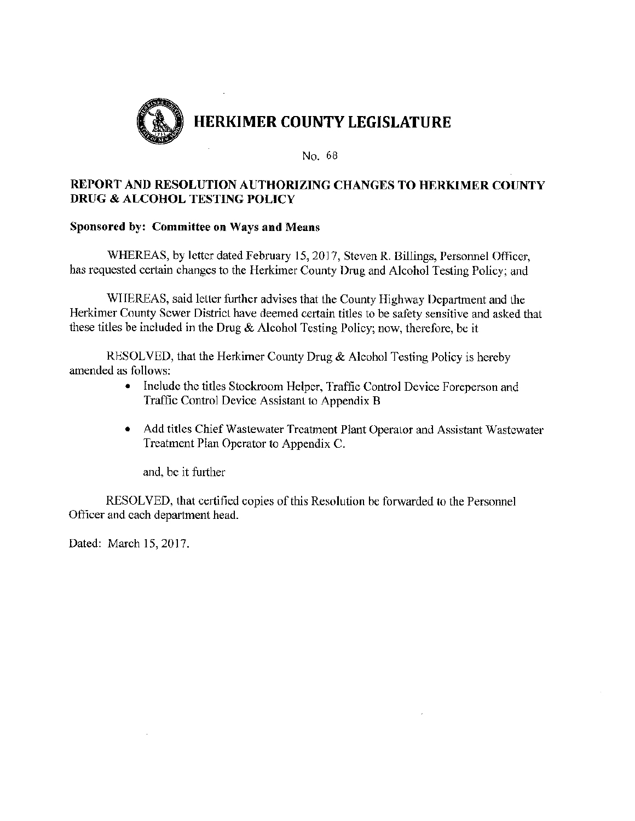

# REPORT AND RESOLUTION AUTHORIZING CHANGES TO HERKIMER COUNTY **DRUG & ALCOHOL TESTING POLICY**

#### Sponsored by: Committee on Ways and Means

WHEREAS, by letter dated February 15, 2017, Steven R. Billings, Personnel Officer, has requested certain changes to the Herkimer County Drug and Alcohol Testing Policy; and

WHEREAS, said letter further advises that the County Highway Department and the Herkimer County Sewer District have deemed certain titles to be safety sensitive and asked that these titles be included in the Drug & Alcohol Testing Policy; now, therefore, be it

RESOLVED, that the Herkimer County Drug & Alcohol Testing Policy is hereby amended as follows:

- Include the titles Stockroom Helper, Traffic Control Device Foreperson and Traffic Control Device Assistant to Appendix B
- Add titles Chief Wastewater Treatment Plant Operator and Assistant Wastewater  $\bullet$ Treatment Plan Operator to Appendix C.

and, be it further

RESOLVED, that certified copies of this Resolution be forwarded to the Personnel Officer and each department head.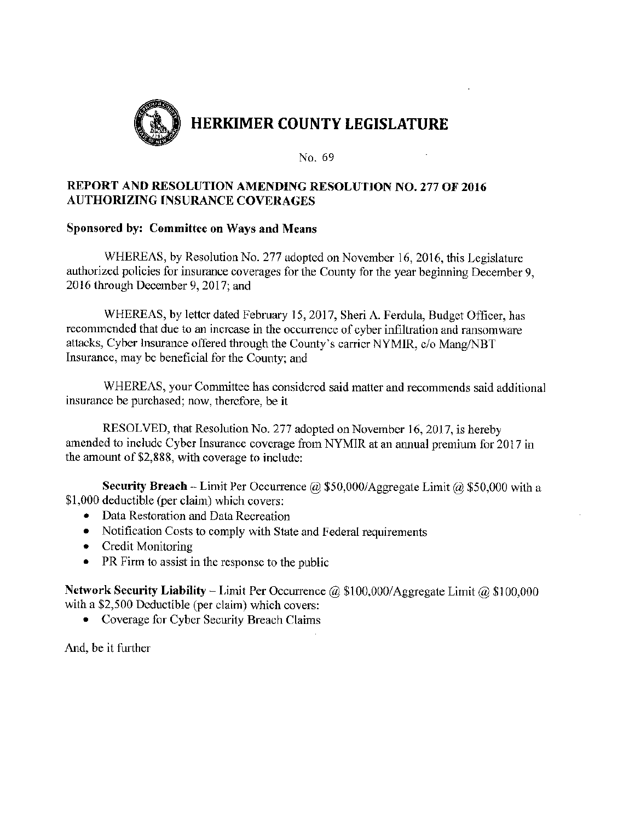

## **REPORT AND RESOLUTION AMENDING RESOLUTION NO. 277 OF 2016 AUTHORIZING INSURANCE COVERAGES**

#### Sponsored by: Committee on Ways and Means

WHEREAS, by Resolution No. 277 adopted on November 16, 2016, this Legislature authorized policies for insurance coverages for the County for the year beginning December 9, 2016 through December 9, 2017; and

WHEREAS, by letter dated February 15, 2017, Sheri A. Ferdula, Budget Officer, has recommended that due to an increase in the occurrence of cyber infiltration and ransomware attacks, Cyber Insurance offered through the County's carrier NYMIR, c/o Mang/NBT Insurance, may be beneficial for the County; and

WHEREAS, your Committee has considered said matter and recommends said additional insurance be purchased; now, therefore, be it

RESOLVED, that Resolution No. 277 adopted on November 16, 2017, is hereby amended to include Cyber Insurance coverage from NYMIR at an annual premium for 2017 in the amount of \$2,888, with coverage to include:

**Security Breach** - Limit Per Occurrence @ \$50,000/Aggregate Limit @ \$50,000 with a \$1,000 deductible (per claim) which covers:

- Data Restoration and Data Recreation
- Notification Costs to comply with State and Federal requirements
- Credit Monitoring
- PR Firm to assist in the response to the public

**Network Security Liability** – Limit Per Occurrence  $\omega$  \$100,000/Aggregate Limit  $\omega$  \$100,000 with a \$2,500 Deductible (per claim) which covers:

• Coverage for Cyber Security Breach Claims

And, be it further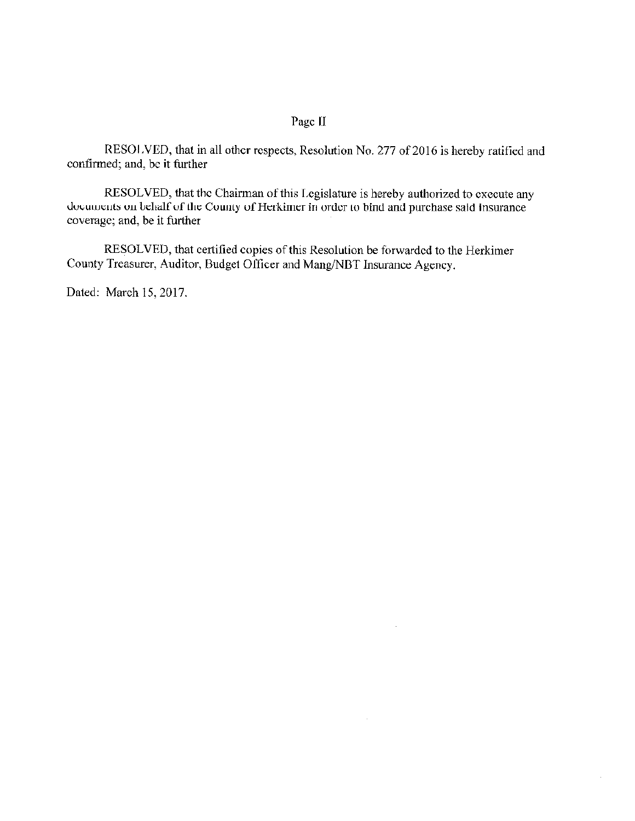## Page II

RESOLVED, that in all other respects, Resolution No. 277 of 2016 is hereby ratified and confirmed; and, be it further

RESOLVED, that the Chairman of this Legislature is hereby authorized to execute any documents on behalf of the County of Herkimer in order to bind and purchase said insurance coverage; and, be it further

 $\overline{a}$ 

 $\mathcal{A}$ 

RESOLVED, that certified copies of this Resolution be forwarded to the Herkimer County Treasurer, Auditor, Budget Officer and Mang/NBT Insurance Agency.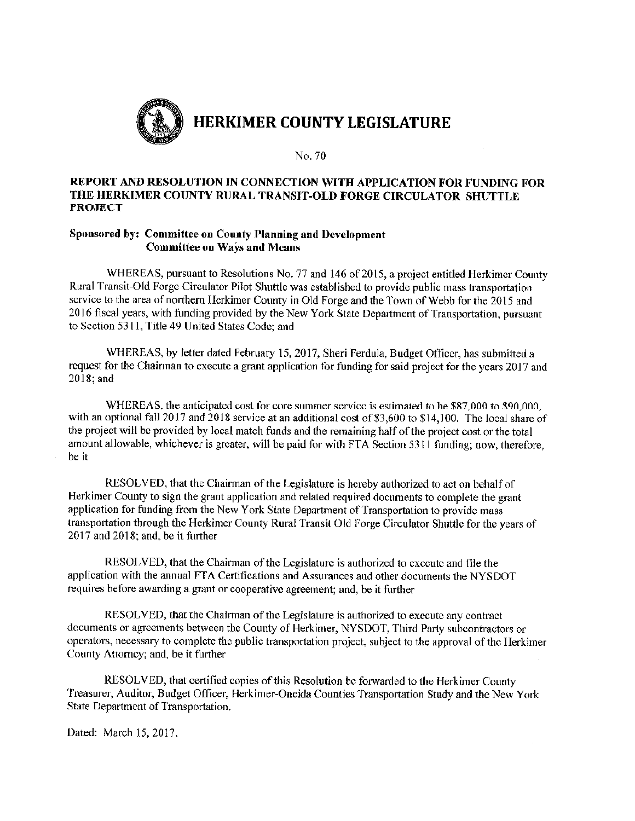

#### REPORT AND RESOLUTION IN CONNECTION WITH APPLICATION FOR FUNDING FOR THE HERKIMER COUNTY RURAL TRANSIT-OLD FORGE CIRCULATOR SHUTTLE **PROJECT**

#### Sponsored by: Committee on County Planning and Development **Committee on Ways and Means**

WHEREAS, pursuant to Resolutions No. 77 and 146 of 2015, a project entitled Herkimer County Rural Transit-Old Forge Circulator Pilot Shuttle was established to provide public mass transportation service to the area of northern Herkimer County in Old Forge and the Town of Webb for the 2015 and 2016 fiscal years, with funding provided by the New York State Department of Transportation, pursuant to Section 5311, Title 49 United States Code; and

WHEREAS, by letter dated February 15, 2017, Sheri Ferdula, Budget Officer, has submitted a request for the Chairman to execute a grant application for funding for said project for the years 2017 and 2018: and

WHEREAS, the anticipated cost for core summer service is estimated to be \$87,000 to \$90,000. with an optional fall 2017 and 2018 service at an additional cost of \$3,600 to \$14,100. The local share of the project will be provided by local match funds and the remaining half of the project cost or the total amount allowable, whichever is greater, will be paid for with FTA Section 5311 funding; now, therefore, be it

RESOLVED, that the Chairman of the Legislature is hereby authorized to act on behalf of Herkimer County to sign the grant application and related required documents to complete the grant application for funding from the New York State Department of Transportation to provide mass transportation through the Herkimer County Rural Transit Old Forge Circulator Shuttle for the years of 2017 and 2018; and, be it further

RESOLVED, that the Chairman of the Legislature is authorized to execute and file the application with the annual FTA Certifications and Assurances and other documents the NYSDOT requires before awarding a grant or cooperative agreement; and, be it further

RESOLVED, that the Chairman of the Legislature is authorized to execute any contract documents or agreements between the County of Herkimer, NYSDOT, Third Party subcontractors or operators, necessary to complete the public transportation project, subject to the approval of the Herkimer County Attorney; and, be it further

RESOLVED, that certified copies of this Resolution be forwarded to the Herkimer County Treasurer, Auditor, Budget Officer, Herkimer-Oneida Counties Transportation Study and the New York State Department of Transportation.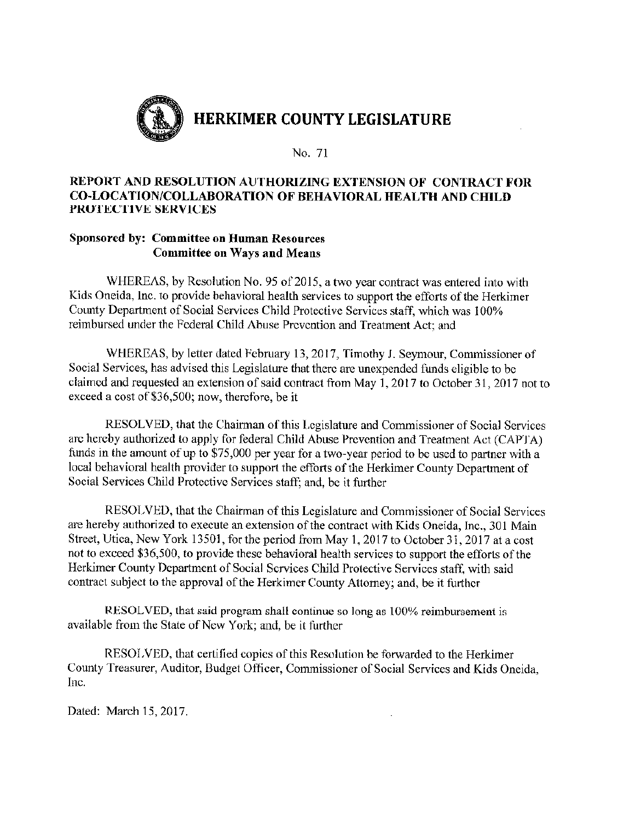

#### REPORT AND RESOLUTION AUTHORIZING EXTENSION OF CONTRACT FOR **CO-LOCATION/COLLABORATION OF BEHAVIORAL HEALTH AND CHILD** PROTECTIVE SERVICES

## **Sponsored by: Committee on Human Resources Committee on Ways and Means**

WHEREAS, by Resolution No. 95 of 2015, a two year contract was entered into with Kids Oneida, Inc. to provide behavioral health services to support the efforts of the Herkimer County Department of Social Services Child Protective Services staff, which was 100% reimbursed under the Federal Child Abuse Prevention and Treatment Act; and

WHEREAS, by letter dated February 13, 2017, Timothy J. Seymour, Commissioner of Social Services, has advised this Legislature that there are unexpended funds eligible to be claimed and requested an extension of said contract from May 1, 2017 to October 31, 2017 not to exceed a cost of \$36,500; now, therefore, be it

RESOLVED, that the Chairman of this Legislature and Commissioner of Social Services are hereby authorized to apply for federal Child Abuse Prevention and Treatment Act (CAPTA) funds in the amount of up to \$75,000 per year for a two-year period to be used to partner with a local behavioral health provider to support the efforts of the Herkimer County Department of Social Services Child Protective Services staff; and, be it further

RESOLVED, that the Chairman of this Legislature and Commissioner of Social Services are hereby authorized to execute an extension of the contract with Kids Oneida, Inc., 301 Main Street, Utica, New York 13501, for the period from May 1, 2017 to October 31, 2017 at a cost not to exceed \$36,500, to provide these behavioral health services to support the efforts of the Herkimer County Department of Social Services Child Protective Services staff, with said contract subject to the approval of the Herkimer County Attorney; and, be it further

RESOLVED, that said program shall continue so long as 100% reimbursement is available from the State of New York; and, be it further

RESOLVED, that certified copies of this Resolution be forwarded to the Herkimer County Treasurer, Auditor, Budget Officer, Commissioner of Social Services and Kids Oneida. Inc.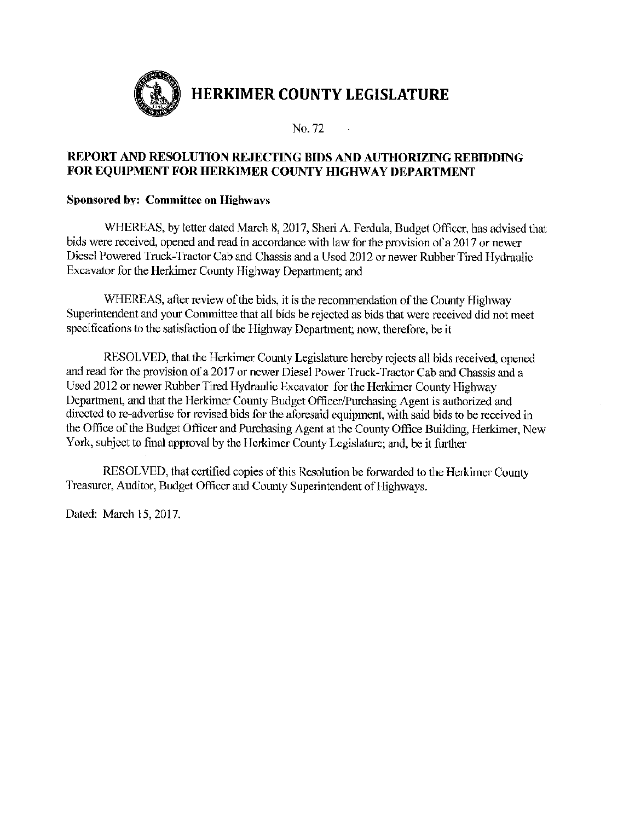

 $\sim 1$ 

# REPORT AND RESOLUTION REJECTING BIDS AND AUTHORIZING REBIDDING FOR EQUIPMENT FOR HERKIMER COUNTY HIGHWAY DEPARTMENT

# Sponsored by: Committee on Highways

WHEREAS, by letter dated March 8, 2017, Sheri A. Ferdula, Budget Officer, has advised that bids were received, opened and read in accordance with law for the provision of a 2017 or newer Diesel Powered Truck-Tractor Cab and Chassis and a Used 2012 or newer Rubber Tired Hydraulic Excavator for the Herkimer County Highway Department; and

WHEREAS, after review of the bids, it is the recommendation of the County Highway Superintendent and your Committee that all bids be rejected as bids that were received did not meet specifications to the satisfaction of the Highway Department; now, therefore, be it

RESOLVED, that the Herkimer County Legislature hereby rejects all bids received, opened and read for the provision of a 2017 or newer Diesel Power Truck-Tractor Cab and Chassis and a Used 2012 or newer Rubber Tired Hydraulic Excavator for the Herkimer County Highway Department, and that the Herkimer County Budget Officer/Purchasing Agent is authorized and directed to re-advertise for revised bids for the aforesaid equipment, with said bids to be received in the Office of the Budget Officer and Purchasing Agent at the County Office Building, Herkimer, New York, subject to final approval by the Herkimer County Legislature; and, be it further

RESOLVED, that certified copies of this Resolution be forwarded to the Herkimer County Treasurer, Auditor, Budget Officer and County Superintendent of Highways.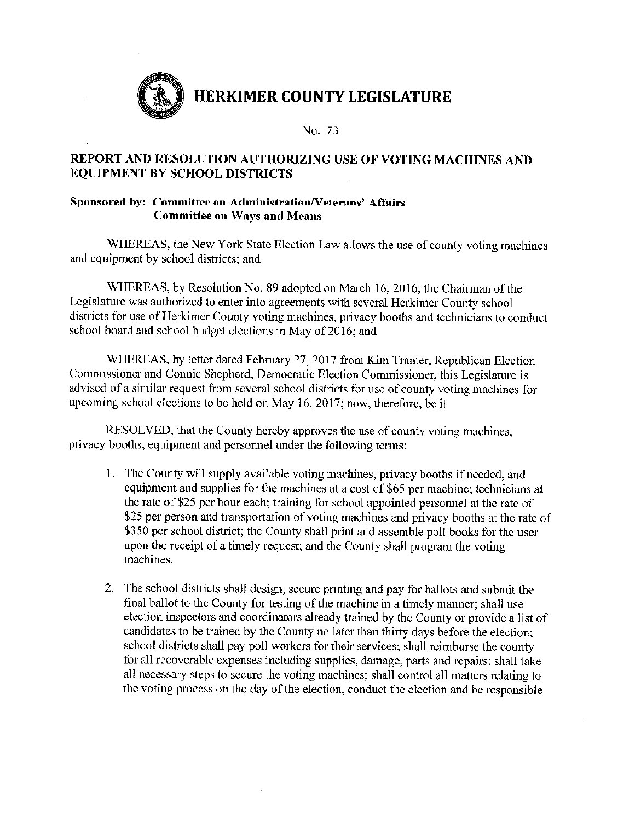

No. 73

# REPORT AND RESOLUTION AUTHORIZING USE OF VOTING MACHINES AND **EQUIPMENT BY SCHOOL DISTRICTS**

#### Sponsored by: Committee on Administration/Veterans' Affairs **Committee on Ways and Means**

WHEREAS, the New York State Election Law allows the use of county voting machines and equipment by school districts; and

WHEREAS, by Resolution No. 89 adopted on March 16, 2016, the Chairman of the Legislature was authorized to enter into agreements with several Herkimer County school districts for use of Herkimer County voting machines, privacy booths and technicians to conduct school board and school budget elections in May of 2016; and

WHEREAS, by letter dated February 27, 2017 from Kim Tranter, Republican Election Commissioner and Connie Shepherd, Democratic Election Commissioner, this Legislature is advised of a similar request from several school districts for use of county voting machines for upcoming school elections to be held on May 16, 2017; now, therefore, be it

RESOLVED, that the County hereby approves the use of county voting machines, privacy booths, equipment and personnel under the following terms:

- 1. The County will supply available voting machines, privacy booths if needed, and equipment and supplies for the machines at a cost of \$65 per machine; technicians at the rate of \$25 per hour each; training for school appointed personnel at the rate of \$25 per person and transportation of voting machines and privacy booths at the rate of \$350 per school district; the County shall print and assemble poll books for the user upon the receipt of a timely request; and the County shall program the voting machines.
- 2. The school districts shall design, secure printing and pay for ballots and submit the final ballot to the County for testing of the machine in a timely manner; shall use election inspectors and coordinators already trained by the County or provide a list of candidates to be trained by the County no later than thirty days before the election; school districts shall pay poll workers for their services; shall reimburse the county for all recoverable expenses including supplies, damage, parts and repairs; shall take all necessary steps to secure the voting machines; shall control all matters relating to the voting process on the day of the election, conduct the election and be responsible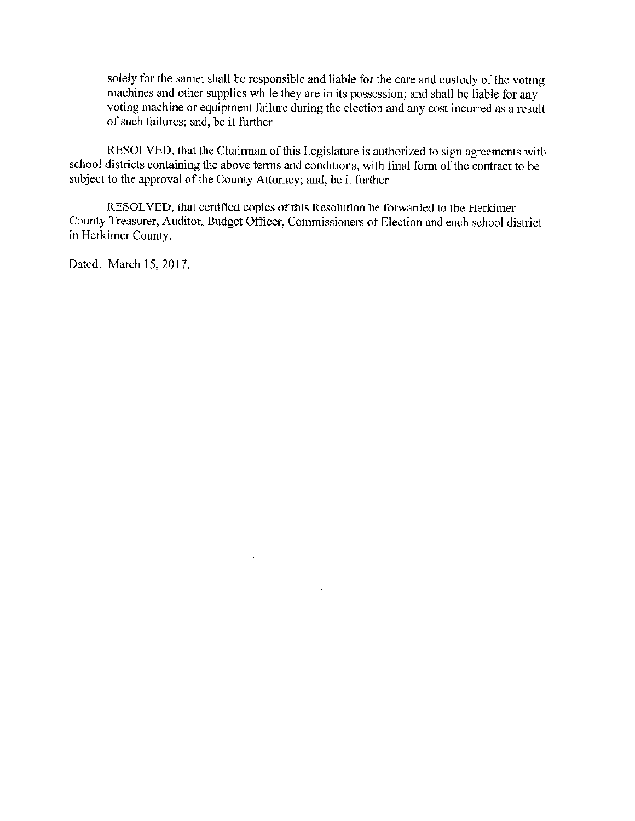solely for the same; shall be responsible and liable for the care and custody of the voting machines and other supplies while they are in its possession; and shall be liable for any voting machine or equipment failure during the election and any cost incurred as a result of such failures; and, be it further

RESOLVED, that the Chairman of this Legislature is authorized to sign agreements with school districts containing the above terms and conditions, with final form of the contract to be subject to the approval of the County Attorney; and, be it further

RESOLVED, that certified copies of this Resolution be forwarded to the Herkimer County Treasurer, Auditor, Budget Officer, Commissioners of Election and each school district in Herkimer County.

 $\mathcal{L}_{\mathcal{A}}$ 

 $\sim$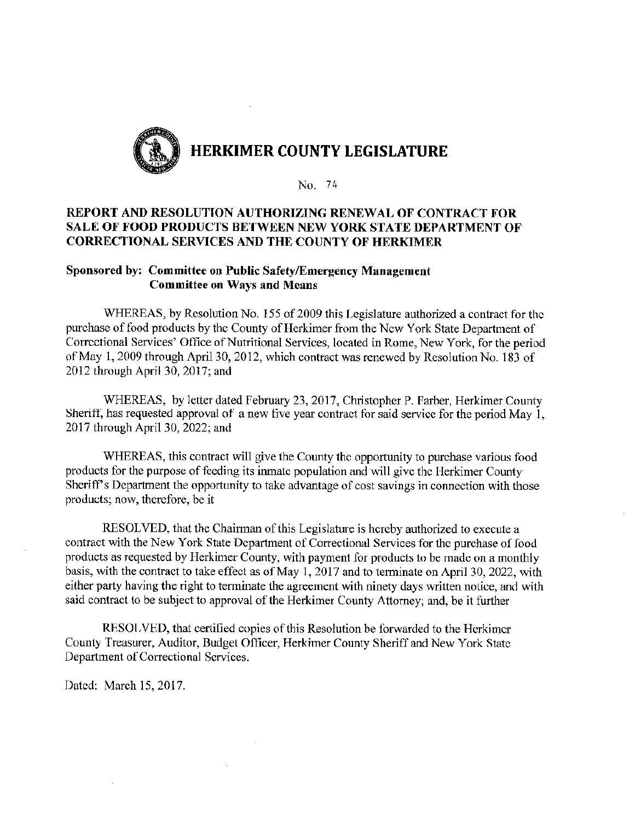

### REPORT AND RESOLUTION AUTHORIZING RENEWAL OF CONTRACT FOR SALE OF FOOD PRODUCTS BETWEEN NEW YORK STATE DEPARTMENT OF **CORRECTIONAL SERVICES AND THE COUNTY OF HERKIMER**

#### Sponsored by: Committee on Public Safety/Emergency Management **Committee on Ways and Means**

WHEREAS, by Resolution No. 155 of 2009 this Legislature authorized a contract for the purchase of food products by the County of Herkimer from the New York State Department of Correctional Services' Office of Nutritional Services, located in Rome, New York, for the period of May 1, 2009 through April 30, 2012, which contract was renewed by Resolution No. 183 of 2012 through April 30, 2017; and

WHEREAS, by letter dated February 23, 2017, Christopher P. Farber, Herkimer County Sheriff, has requested approval of a new five year contract for said service for the period May 1, 2017 through April 30, 2022; and

WHEREAS, this contract will give the County the opportunity to purchase various food products for the purpose of feeding its inmate population and will give the Herkimer County Sheriff's Department the opportunity to take advantage of cost savings in connection with those products; now, therefore, be it

RESOLVED, that the Chairman of this Legislature is hereby authorized to execute a contract with the New York State Department of Correctional Services for the purchase of food products as requested by Herkimer County, with payment for products to be made on a monthly basis, with the contract to take effect as of May 1, 2017 and to terminate on April 30, 2022, with either party having the right to terminate the agreement with ninety days written notice, and with said contract to be subject to approval of the Herkimer County Attorney; and, be it further

RESOLVED, that certified copies of this Resolution be forwarded to the Herkimer County Treasurer, Auditor, Budget Officer, Herkimer County Sheriff and New York State Department of Correctional Services.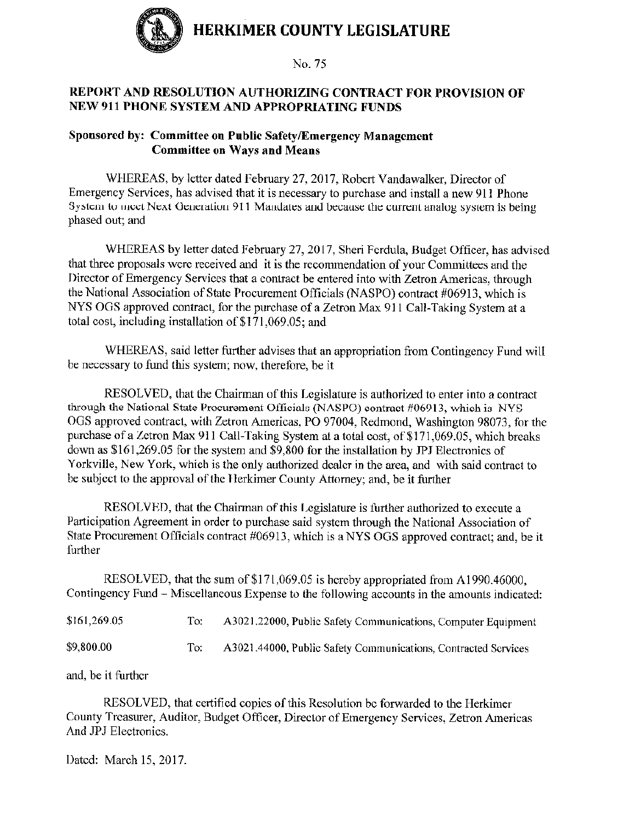

# REPORT AND RESOLUTION AUTHORIZING CONTRACT FOR PROVISION OF NEW 911 PHONE SYSTEM AND APPROPRIATING FUNDS

#### Sponsored by: Committee on Public Safety/Emergency Management **Committee on Ways and Means**

WHEREAS, by letter dated February 27, 2017, Robert Vandawalker, Director of Emergency Services, has advised that it is necessary to purchase and install a new 911 Phone System to meet Next Generation 911 Mandates and because the current analog system is being phased out; and

WHEREAS by letter dated February 27, 2017, Sheri Ferdula, Budget Officer, has advised that three proposals were received and it is the recommendation of your Committees and the Director of Emergency Services that a contract be entered into with Zetron Americas, through the National Association of State Procurement Officials (NASPO) contract #06913, which is NYS OGS approved contract, for the purchase of a Zetron Max 911 Call-Taking System at a total cost, including installation of \$171,069,05; and

WHEREAS, said letter further advises that an appropriation from Contingency Fund will be necessary to fund this system; now, therefore, be it

RESOLVED, that the Chairman of this Legislature is authorized to enter into a contract through the National State Procurement Officials (NASPO) contract #06913, which is NYS OGS approved contract, with Zetron Americas, PO 97004, Redmond, Washington 98073, for the purchase of a Zetron Max 911 Call-Taking System at a total cost, of \$171,069.05, which breaks down as \$161,269.05 for the system and \$9,800 for the installation by JPJ Electronics of Yorkville, New York, which is the only authorized dealer in the area, and with said contract to be subject to the approval of the Herkimer County Attorney; and, be it further

RESOLVED, that the Chairman of this Legislature is further authorized to execute a Participation Agreement in order to purchase said system through the National Association of State Procurement Officials contract #06913, which is a NYS OGS approved contract; and, be it further

RESOLVED, that the sum of \$171,069.05 is hereby appropriated from A1990.46000, Contingency Fund – Miscellaneous Expense to the following accounts in the amounts indicated:

| \$161,269.05 | A3021.22000, Public Safety Communications, Computer Equipment  |
|--------------|----------------------------------------------------------------|
| \$9,800.00   | A3021.44000, Public Safety Communications, Contracted Services |

and, be it further

RESOLVED, that certified copies of this Resolution be forwarded to the Herkimer County Treasurer, Auditor, Budget Officer, Director of Emergency Services, Zetron Americas And JPJ Electronics.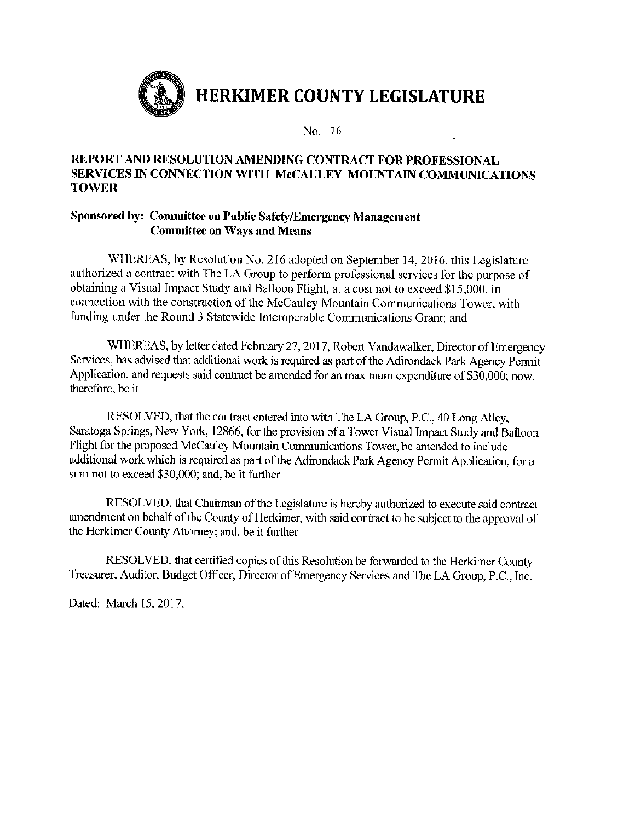

## REPORT AND RESOLUTION AMENDING CONTRACT FOR PROFESSIONAL SERVICES IN CONNECTION WITH McCAULEY MOUNTAIN COMMUNICATIONS **TOWER**

## Sponsored by: Committee on Public Safety/Emergency Management **Committee on Ways and Means**

WHEREAS, by Resolution No. 216 adopted on September 14, 2016, this Legislature authorized a contract with The LA Group to perform professional services for the purpose of obtaining a Visual Impact Study and Balloon Flight, at a cost not to exceed \$15,000, in connection with the construction of the McCauley Mountain Communications Tower, with funding under the Round 3 Statewide Interoperable Communications Grant; and

WHEREAS, by letter dated February 27, 2017, Robert Vandawalker, Director of Emergency Services, has advised that additional work is required as part of the Adirondack Park Agency Permit Application, and requests said contract be amended for an maximum expenditure of \$30,000; now, therefore, be it

RESOLVED, that the contract entered into with The LA Group, P.C., 40 Long Alley, Saratoga Springs, New York, 12866, for the provision of a Tower Visual Impact Study and Balloon Flight for the proposed McCauley Mountain Communications Tower, be amended to include additional work which is required as part of the Adirondack Park Agency Permit Application, for a sum not to exceed \$30,000; and, be it further

RESOLVED, that Chairman of the Legislature is hereby authorized to execute said contract amendment on behalf of the County of Herkimer, with said contract to be subject to the approval of the Herkimer County Attorney; and, be it further

RESOLVED, that certified copies of this Resolution be forwarded to the Herkimer County Treasurer, Auditor, Budget Officer, Director of Emergency Services and The LA Group, P.C., Inc.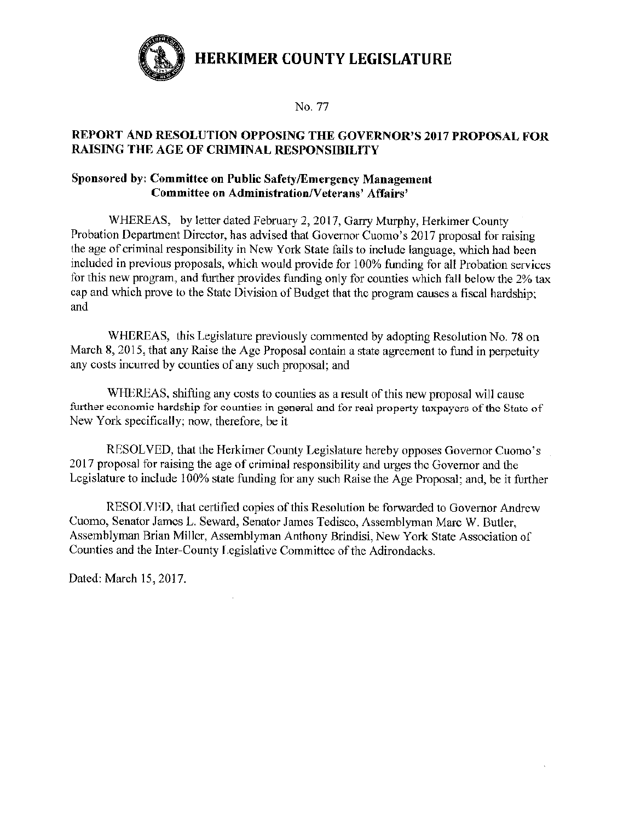

No. 77

## REPORT AND RESOLUTION OPPOSING THE GOVERNOR'S 2017 PROPOSAL FOR **RAISING THE AGE OF CRIMINAL RESPONSIBILITY**

# Sponsored by: Committee on Public Safety/Emergency Management **Committee on Administration/Veterans' Affairs'**

WHEREAS, by letter dated February 2, 2017, Garry Murphy, Herkimer County Probation Department Director, has advised that Governor Cuomo's 2017 proposal for raising the age of criminal responsibility in New York State fails to include language, which had been included in previous proposals, which would provide for 100% funding for all Probation services for this new program, and further provides funding only for counties which fall below the 2% tax cap and which prove to the State Division of Budget that the program causes a fiscal hardship: and

WHEREAS, this Legislature previously commented by adopting Resolution No. 78 on March 8, 2015, that any Raise the Age Proposal contain a state agreement to fund in perpetuity any costs incurred by counties of any such proposal; and

WHEREAS, shifting any costs to counties as a result of this new proposal will cause further economic hardship for counties in general and for real property taxpayers of the State of New York specifically; now, therefore, be it

RESOLVED, that the Herkimer County Legislature hereby opposes Governor Cuomo's 2017 proposal for raising the age of criminal responsibility and urges the Governor and the Legislature to include 100% state funding for any such Raise the Age Proposal; and, be it further

RESOLVED, that certified copies of this Resolution be forwarded to Governor Andrew Cuomo, Senator James L. Seward, Senator James Tedisco, Assemblyman Marc W. Butler, Assemblyman Brian Miller, Assemblyman Anthony Brindisi, New York State Association of Counties and the Inter-County Legislative Committee of the Adirondacks.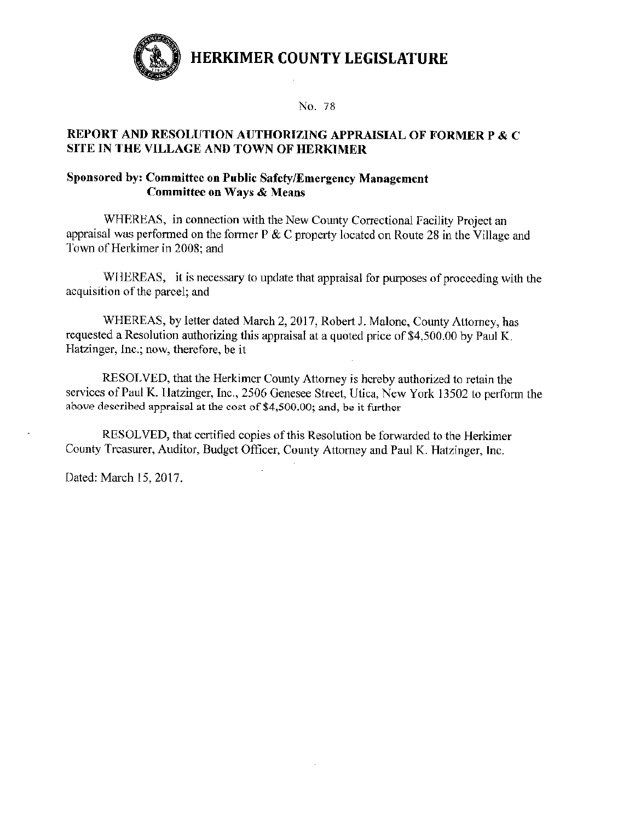

No. 78

## REPORT AND RESOLUTION AUTHORIZING APPRAISIAL OF FORMER P & C SITE IN THE VILLAGE AND TOWN OF HERKIMER

#### Sponsored by: Committee on Public Safety/Emergency Management **Committee on Ways & Means**

WHEREAS, in connection with the New County Correctional Facility Project an appraisal was performed on the former  $P \& C$  property located on Route 28 in the Village and Town of Herkimer in 2008; and

WHEREAS, it is necessary to update that appraisal for purposes of proceeding with the acquisition of the parcel; and

WHEREAS, by letter dated March 2, 2017, Robert J. Malone, County Attorney, has requested a Resolution authorizing this appraisal at a quoted price of \$4,500.00 by Paul K. Hatzinger, Inc.; now, therefore, be it

RESOLVED, that the Herkimer County Attorney is hereby authorized to retain the services of Paul K. Hatzinger, Inc., 2506 Genesee Street, Utica, New York 13502 to perform the above described appraisal at the cost of \$4,500.00; and, be it further

RESOLVED, that certified copies of this Resolution be forwarded to the Herkimer County Treasurer, Auditor, Budget Officer, County Attorney and Paul K. Hatzinger, Inc.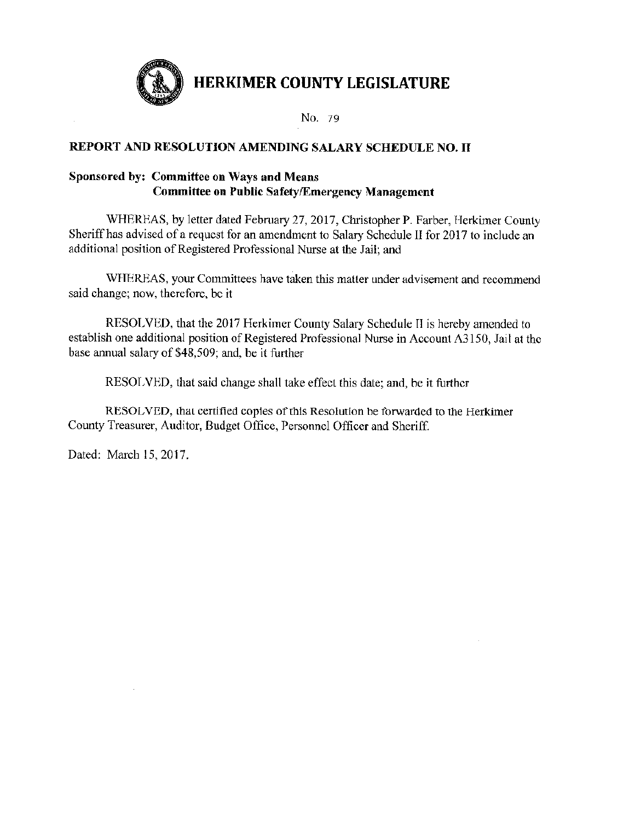

No. 79

# REPORT AND RESOLUTION AMENDING SALARY SCHEDULE NO. II

# Sponsored by: Committee on Ways and Means **Committee on Public Safety/Emergency Management**

WHEREAS, by letter dated February 27, 2017, Christopher P. Farber, Herkimer County Sheriff has advised of a request for an amendment to Salary Schedule II for 2017 to include an additional position of Registered Professional Nurse at the Jail; and

WHEREAS, your Committees have taken this matter under advisement and recommend said change; now, therefore, be it

RESOLVED, that the 2017 Herkimer County Salary Schedule II is hereby amended to establish one additional position of Registered Professional Nurse in Account A3150, Jail at the base annual salary of \$48,509; and, be it further

RESOLVED, that said change shall take effect this date; and, be it further

RESOLVED, that certified copies of this Resolution be forwarded to the Herkimer County Treasurer, Auditor, Budget Office, Personnel Officer and Sheriff.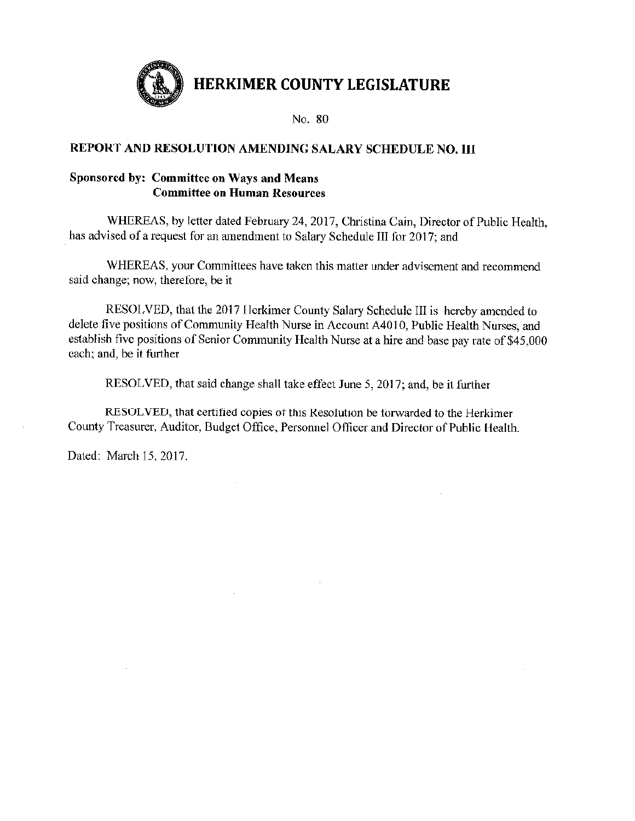

# REPORT AND RESOLUTION AMENDING SALARY SCHEDULE NO. 111

# Sponsored by: Committee on Ways and Means **Committee on Human Resources**

WHEREAS, by letter dated February 24, 2017, Christina Cain, Director of Public Health, has advised of a request for an amendment to Salary Schedule III for 2017; and

WHEREAS, your Committees have taken this matter under advisement and recommend said change; now, therefore, be it

RESOLVED, that the 2017 Herkimer County Salary Schedule III is hereby amended to delete five positions of Community Health Nurse in Account A4010, Public Health Nurses, and establish five positions of Senior Community Health Nurse at a hire and base pay rate of \$45,000 each; and, be it further

RESOLVED, that said change shall take effect June 5, 2017; and, be it further

RESOLVED, that certified copies of this Resolution be forwarded to the Herkimer County Treasurer, Auditor, Budget Office, Personnel Officer and Director of Public Health.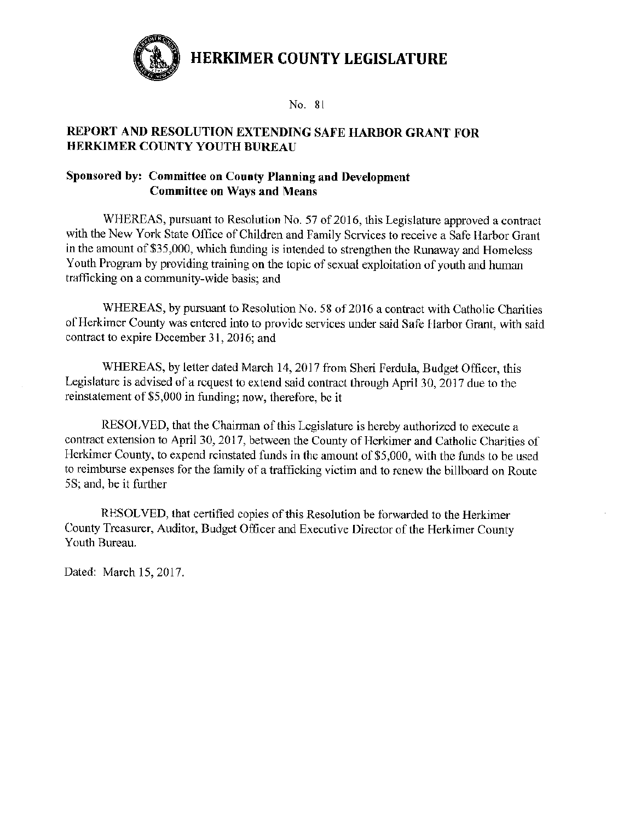

No. 81

# REPORT AND RESOLUTION EXTENDING SAFE HARBOR GRANT FOR **HERKIMER COUNTY YOUTH BUREAU**

## Sponsored by: Committee on County Planning and Development **Committee on Ways and Means**

WHEREAS, pursuant to Resolution No. 57 of 2016, this Legislature approved a contract with the New York State Office of Children and Family Scrvices to receive a Safe Harbor Grant in the amount of \$35,000, which funding is intended to strengthen the Runaway and Homeless Youth Program by providing training on the topic of sexual exploitation of youth and human trafficking on a community-wide basis; and

WHEREAS, by pursuant to Resolution No. 58 of 2016 a contract with Catholic Charities of Herkimer County was entered into to provide services under said Safe Harbor Grant, with said contract to expire December 31, 2016; and

WHEREAS, by letter dated March 14, 2017 from Sheri Ferdula, Budget Officer, this Legislature is advised of a request to extend said contract through April 30, 2017 due to the reinstatement of \$5,000 in funding; now, therefore, be it

RESOLVED, that the Chairman of this Legislature is hereby authorized to execute a contract extension to April 30, 2017, between the County of Herkimer and Catholic Charities of Herkimer County, to expend reinstated funds in the amount of \$5,000, with the funds to be used to reimburse expenses for the family of a trafficking victim and to renew the billboard on Route 5S; and, be it further

RESOLVED, that certified copies of this Resolution be forwarded to the Herkimer County Treasurer, Auditor, Budget Officer and Executive Director of the Herkimer County Youth Bureau.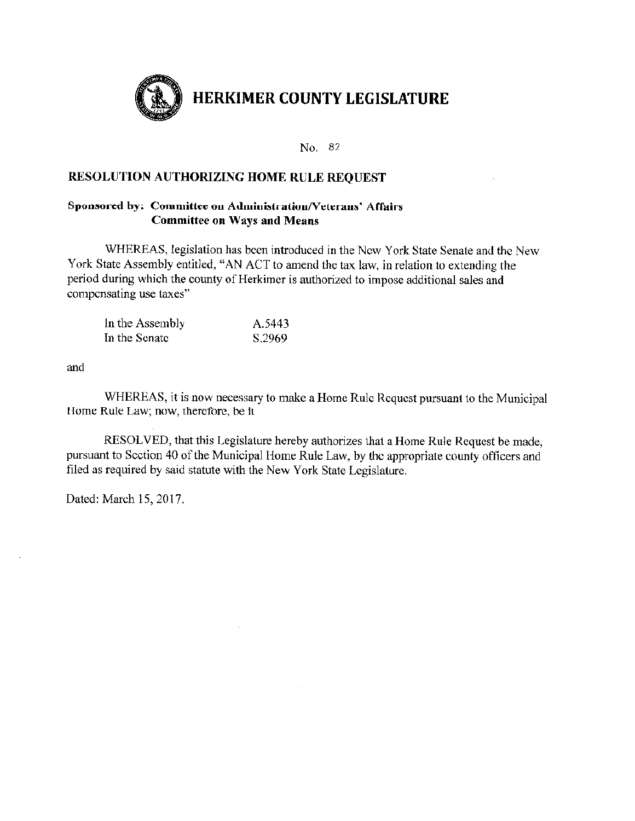

#### **RESOLUTION AUTHORIZING HOME RULE REQUEST**

#### Sponsored by: Committee on Administration/Veterans' Affairs **Committee on Ways and Means**

WHEREAS, legislation has been introduced in the New York State Senate and the New York State Assembly entitled, "AN ACT to amend the tax law, in relation to extending the period during which the county of Herkimer is authorized to impose additional sales and compensating use taxes"

| In the Assembly | A.5443 |
|-----------------|--------|
| In the Senate   | S.2969 |

and

WHEREAS, it is now necessary to make a Home Rule Request pursuant to the Municipal Home Rule Law; now, therefore, be it

RESOLVED, that this Legislature hereby authorizes that a Home Rule Request be made, pursuant to Section 40 of the Municipal Home Rule Law, by the appropriate county officers and filed as required by said statute with the New York State Legislature.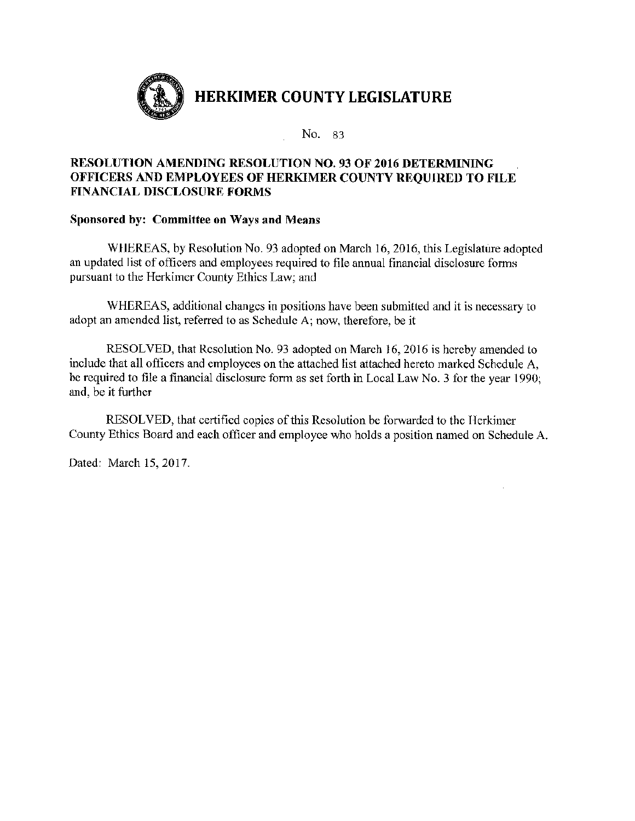

# **RESOLUTION AMENDING RESOLUTION NO. 93 OF 2016 DETERMINING** OFFICERS AND EMPLOYEES OF HERKIMER COUNTY REQUIRED TO FILE **FINANCIAL DISCLOSURE FORMS**

# Sponsored by: Committee on Ways and Means

WHEREAS, by Resolution No. 93 adopted on March 16, 2016, this Legislature adopted an updated list of officers and employees required to file annual financial disclosure forms pursuant to the Herkimer County Ethics Law; and

WHEREAS, additional changes in positions have been submitted and it is necessary to adopt an amended list, referred to as Schedule A; now, therefore, be it

RESOLVED, that Resolution No. 93 adopted on March 16, 2016 is hereby amended to include that all officers and employees on the attached list attached hereto marked Schedule A, be required to file a financial disclosure form as set forth in Local Law No. 3 for the year 1990; and, be it further

RESOLVED, that certified copies of this Resolution be forwarded to the Herkimer County Ethics Board and each officer and employee who holds a position named on Schedule A.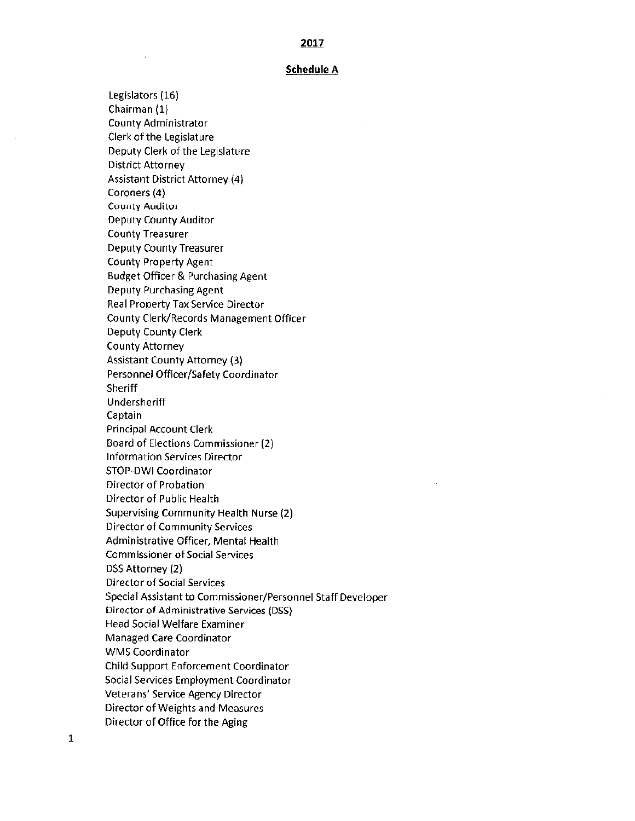#### **Schedule A**

Legislators (16) Chairman (1) County Administrator Clerk of the Legislature Deputy Clerk of the Legislature District Attorney **Assistant District Attorney (4)** Coroners (4) **County Auditor** Deputy County Auditor **County Treasurer** Deputy County Treasurer **County Property Agent Budget Officer & Purchasing Agent Deputy Purchasing Agent** Real Property Tax Service Director County Clerk/Records Management Officer Deputy County Clerk **County Attorney Assistant County Attorney (3)** Personnel Officer/Safety Coordinator Sheriff Undersheriff Captain **Principal Account Clerk** Board of Elections Commissioner (2) **Information Services Director** STOP-DWI Coordinator Director of Probation Director of Public Health Supervising Community Health Nurse (2) **Director of Community Services** Administrative Officer, Mental Health **Commissioner of Social Services** DSS Attorney (2) **Director of Social Services** Special Assistant to Commissioner/Personnel Staff Developer Director of Administrative Services (DSS) **Head Social Welfare Examiner** Managed Care Coordinator **WMS Coordinator** Child Support Enforcement Coordinator Social Services Employment Coordinator Veterans' Service Agency Director **Director of Weights and Measures** Director of Office for the Aging